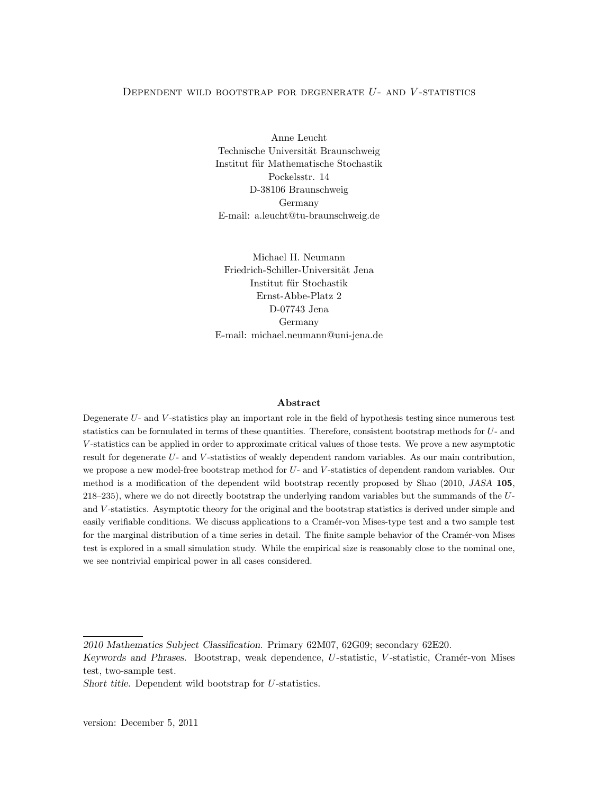## <span id="page-0-0"></span>DEPENDENT WILD BOOTSTRAP FOR DEGENERATE  $U$ - and  $V$ -statistics

Anne Leucht Technische Universität Braunschweig Institut für Mathematische Stochastik Pockelsstr. 14 D-38106 Braunschweig Germany E-mail: a.leucht@tu-braunschweig.de

Michael H. Neumann Friedrich-Schiller-Universität Jena Institut für Stochastik Ernst-Abbe-Platz 2 D-07743 Jena Germany E-mail: michael.neumann@uni-jena.de

## Abstract

Degenerate U- and V -statistics play an important role in the field of hypothesis testing since numerous test statistics can be formulated in terms of these quantities. Therefore, consistent bootstrap methods for U- and V -statistics can be applied in order to approximate critical values of those tests. We prove a new asymptotic result for degenerate U- and V -statistics of weakly dependent random variables. As our main contribution, we propose a new model-free bootstrap method for U- and V -statistics of dependent random variables. Our method is a modification of the dependent wild bootstrap recently proposed by Shao (2010, JASA 105, 218–235), where we do not directly bootstrap the underlying random variables but the summands of the Uand V-statistics. Asymptotic theory for the original and the bootstrap statistics is derived under simple and easily verifiable conditions. We discuss applications to a Cramér-von Mises-type test and a two sample test for the marginal distribution of a time series in detail. The finite sample behavior of the Cramér-von Mises test is explored in a small simulation study. While the empirical size is reasonably close to the nominal one, we see nontrivial empirical power in all cases considered.

<sup>2010</sup> Mathematics Subject Classification. Primary 62M07, 62G09; secondary 62E20.

Keywords and Phrases. Bootstrap, weak dependence, U-statistic, V-statistic, Cramér-von Mises test, two-sample test.

Short title. Dependent wild bootstrap for U-statistics.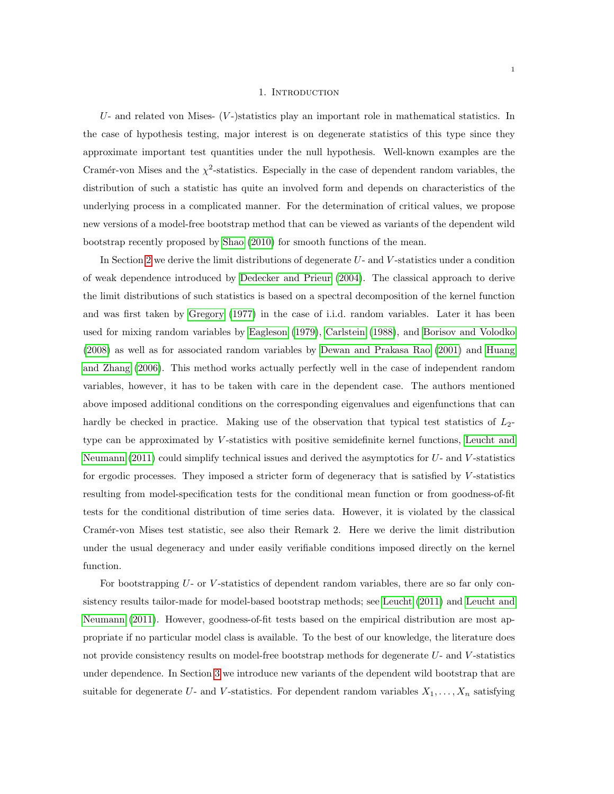### 1. INTRODUCTION

 $U$ - and related von Mises-  $(V)$ -statistics play an important role in mathematical statistics. In the case of hypothesis testing, major interest is on degenerate statistics of this type since they approximate important test quantities under the null hypothesis. Well-known examples are the Cramér-von Mises and the  $\chi^2$ -statistics. Especially in the case of dependent random variables, the distribution of such a statistic has quite an involved form and depends on characteristics of the underlying process in a complicated manner. For the determination of critical values, we propose new versions of a model-free bootstrap method that can be viewed as variants of the dependent wild bootstrap recently proposed by [Shao](#page-33-0) [\(2010\)](#page-33-0) for smooth functions of the mean.

In Section [2](#page-3-0) we derive the limit distributions of degenerate U- and V-statistics under a condition of weak dependence introduced by [Dedecker and Prieur](#page-32-0) [\(2004\)](#page-32-0). The classical approach to derive the limit distributions of such statistics is based on a spectral decomposition of the kernel function and was first taken by [Gregory](#page-33-1) [\(1977\)](#page-33-1) in the case of i.i.d. random variables. Later it has been used for mixing random variables by [Eagleson](#page-32-1) [\(1979\)](#page-32-1), [Carlstein](#page-32-2) [\(1988\)](#page-32-2), and [Borisov and Volodko](#page-32-3) [\(2008\)](#page-32-3) as well as for associated random variables by [Dewan and Prakasa Rao](#page-32-4) [\(2001\)](#page-32-4) and [Huang](#page-33-2) [and Zhang](#page-33-2) [\(2006\)](#page-33-2). This method works actually perfectly well in the case of independent random variables, however, it has to be taken with care in the dependent case. The authors mentioned above imposed additional conditions on the corresponding eigenvalues and eigenfunctions that can hardly be checked in practice. Making use of the observation that typical test statistics of  $L_2$ type can be approximated by  $V$ -statistics with positive semidefinite kernel functions, [Leucht and](#page-33-3) [Neumann](#page-33-3) [\(2011\)](#page-33-3) could simplify technical issues and derived the asymptotics for  $U$ - and  $V$ -statistics for ergodic processes. They imposed a stricter form of degeneracy that is satisfied by V-statistics resulting from model-specification tests for the conditional mean function or from goodness-of-fit tests for the conditional distribution of time series data. However, it is violated by the classical Cramér-von Mises test statistic, see also their Remark 2. Here we derive the limit distribution under the usual degeneracy and under easily verifiable conditions imposed directly on the kernel function.

For bootstrapping  $U$ - or  $V$ -statistics of dependent random variables, there are so far only consistency results tailor-made for model-based bootstrap methods; see [Leucht](#page-33-4) [\(2011\)](#page-33-4) and [Leucht and](#page-33-3) [Neumann](#page-33-3) [\(2011\)](#page-33-3). However, goodness-of-fit tests based on the empirical distribution are most appropriate if no particular model class is available. To the best of our knowledge, the literature does not provide consistency results on model-free bootstrap methods for degenerate U- and V-statistics under dependence. In Section [3](#page-5-0) we introduce new variants of the dependent wild bootstrap that are suitable for degenerate U- and V-statistics. For dependent random variables  $X_1, \ldots, X_n$  satisfying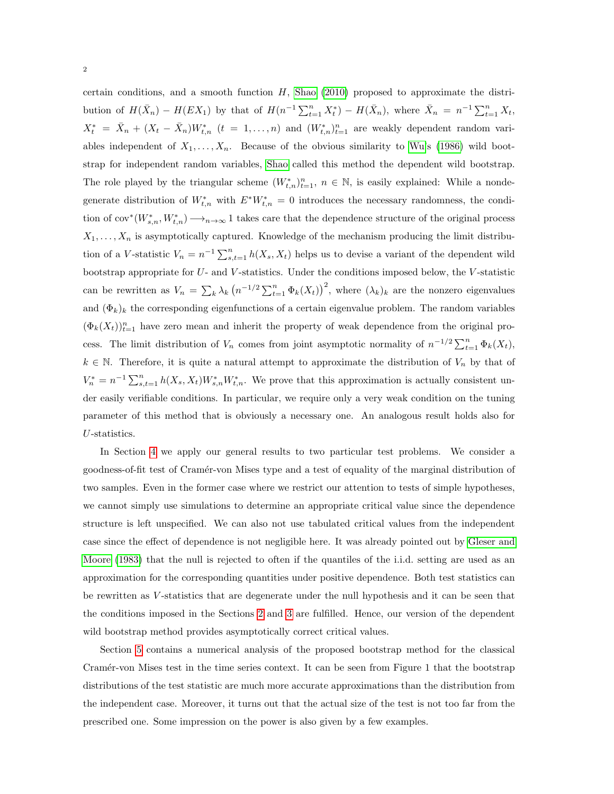certain conditions, and a smooth function  $H$ , [Shao](#page-33-0) [\(2010\)](#page-33-0) proposed to approximate the distribution of  $H(\bar{X}_n) - H(EX_1)$  by that of  $H(n^{-1}\sum_{t=1}^n X_t^*) - H(\bar{X}_n)$ , where  $\bar{X}_n = n^{-1}\sum_{t=1}^n X_t$ ,  $X_t^* = \bar{X}_n + (X_t - \bar{X}_n)W_{t,n}^*$   $(t = 1, \ldots, n)$  and  $(W_{t,n}^*)_{t=1}^n$  are weakly dependent random variables independent of  $X_1, \ldots, X_n$ . Because of the obvious similarity to [Wu'](#page-34-0)s [\(1986\)](#page-34-0) wild bootstrap for independent random variables, [Shao](#page-33-0) called this method the dependent wild bootstrap. The role played by the triangular scheme  $(W^*_{t,n})_{t=1}^n$ ,  $n \in \mathbb{N}$ , is easily explained: While a nondegenerate distribution of  $W_{t,n}^*$  with  $E^*W_{t,n}^* = 0$  introduces the necessary randomness, the condition of  $cov^*(W^*_{s,n}, W^*_{t,n}) \longrightarrow_{n \to \infty} 1$  takes care that the dependence structure of the original process  $X_1, \ldots, X_n$  is asymptotically captured. Knowledge of the mechanism producing the limit distribution of a V-statistic  $V_n = n^{-1} \sum_{s,t=1}^n h(X_s, X_t)$  helps us to devise a variant of the dependent wild bootstrap appropriate for  $U$ - and  $V$ -statistics. Under the conditions imposed below, the  $V$ -statistic can be rewritten as  $V_n = \sum_k \lambda_k \left( n^{-1/2} \sum_{t=1}^n \Phi_k(X_t) \right)^2$ , where  $(\lambda_k)_k$  are the nonzero eigenvalues and  $(\Phi_k)_k$  the corresponding eigenfunctions of a certain eigenvalue problem. The random variables  $(\Phi_k(X_t))_{t=1}^n$  have zero mean and inherit the property of weak dependence from the original process. The limit distribution of  $V_n$  comes from joint asymptotic normality of  $n^{-1/2} \sum_{t=1}^n \Phi_k(X_t)$ ,  $k \in \mathbb{N}$ . Therefore, it is quite a natural attempt to approximate the distribution of  $V_n$  by that of  $V_n^* = n^{-1} \sum_{s,t=1}^n h(X_s, X_t) W_{s,n}^* W_{t,n}^*$ . We prove that this approximation is actually consistent under easily verifiable conditions. In particular, we require only a very weak condition on the tuning parameter of this method that is obviously a necessary one. An analogous result holds also for U-statistics.

In Section [4](#page-8-0) we apply our general results to two particular test problems. We consider a goodness-of-fit test of Cram´er-von Mises type and a test of equality of the marginal distribution of two samples. Even in the former case where we restrict our attention to tests of simple hypotheses, we cannot simply use simulations to determine an appropriate critical value since the dependence structure is left unspecified. We can also not use tabulated critical values from the independent case since the effect of dependence is not negligible here. It was already pointed out by [Gleser and](#page-33-5) [Moore](#page-33-5) [\(1983\)](#page-33-5) that the null is rejected to often if the quantiles of the i.i.d. setting are used as an approximation for the corresponding quantities under positive dependence. Both test statistics can be rewritten as V-statistics that are degenerate under the null hypothesis and it can be seen that the conditions imposed in the Sections [2](#page-3-0) and [3](#page-5-0) are fulfilled. Hence, our version of the dependent wild bootstrap method provides asymptotically correct critical values.

Section [5](#page-11-0) contains a numerical analysis of the proposed bootstrap method for the classical Cramér-von Mises test in the time series context. It can be seen from Figure 1 that the bootstrap distributions of the test statistic are much more accurate approximations than the distribution from the independent case. Moreover, it turns out that the actual size of the test is not too far from the prescribed one. Some impression on the power is also given by a few examples.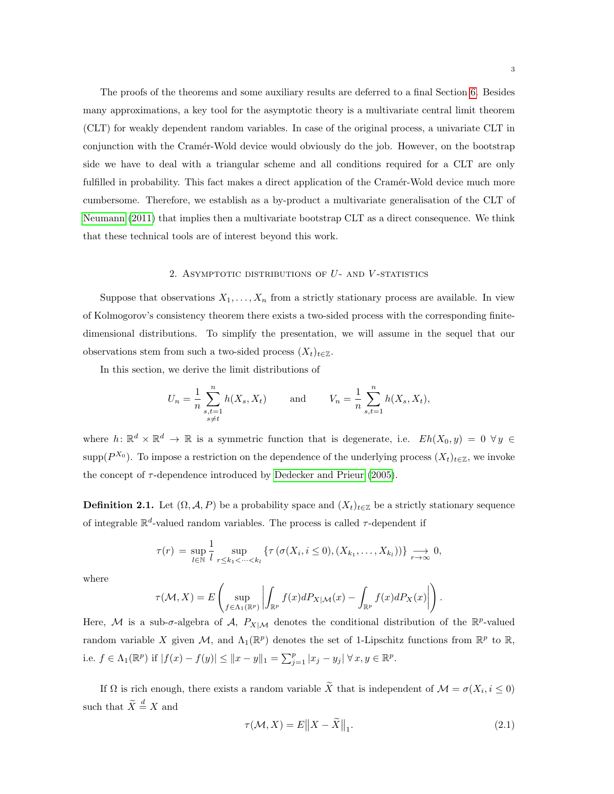The proofs of the theorems and some auxiliary results are deferred to a final Section [6.](#page-12-0) Besides many approximations, a key tool for the asymptotic theory is a multivariate central limit theorem (CLT) for weakly dependent random variables. In case of the original process, a univariate CLT in conjunction with the Cram´er-Wold device would obviously do the job. However, on the bootstrap side we have to deal with a triangular scheme and all conditions required for a CLT are only fulfilled in probability. This fact makes a direct application of the Cramér-Wold device much more cumbersome. Therefore, we establish as a by-product a multivariate generalisation of the CLT of [Neumann](#page-33-6) [\(2011\)](#page-33-6) that implies then a multivariate bootstrap CLT as a direct consequence. We think that these technical tools are of interest beyond this work.

### 2. ASYMPTOTIC DISTRIBUTIONS OF  $U$ - AND  $V$ -STATISTICS

<span id="page-3-0"></span>Suppose that observations  $X_1, \ldots, X_n$  from a strictly stationary process are available. In view of Kolmogorov's consistency theorem there exists a two-sided process with the corresponding finitedimensional distributions. To simplify the presentation, we will assume in the sequel that our observations stem from such a two-sided process  $(X_t)_{t\in\mathbb{Z}}$ .

In this section, we derive the limit distributions of

$$
U_n = \frac{1}{n} \sum_{\substack{s,t=1 \ s \neq t}}^n h(X_s, X_t) \quad \text{and} \quad V_n = \frac{1}{n} \sum_{s,t=1}^n h(X_s, X_t),
$$

where  $h: \mathbb{R}^d \times \mathbb{R}^d \to \mathbb{R}$  is a symmetric function that is degenerate, i.e.  $Eh(X_0, y) = 0 \ \forall y \in$ supp( $P^{X_0}$ ). To impose a restriction on the dependence of the underlying process  $(X_t)_{t\in\mathbb{Z}}$ , we invoke the concept of  $\tau$ -dependence introduced by [Dedecker and Prieur](#page-32-5) [\(2005\)](#page-32-5).

**Definition 2.1.** Let  $(\Omega, \mathcal{A}, P)$  be a probability space and  $(X_t)_{t \in \mathbb{Z}}$  be a strictly stationary sequence of integrable  $\mathbb{R}^d$ -valued random variables. The process is called  $\tau$ -dependent if

$$
\tau(r) = \sup_{l \in \mathbb{N}} \frac{1}{l} \sup_{r \leq k_1 < \dots < k_l} \left\{ \tau\left(\sigma(X_i, i \leq 0), (X_{k_1}, \dots, X_{k_l})\right) \right\} \underset{r \to \infty}{\longrightarrow} 0,
$$

where

$$
\tau(\mathcal{M}, X) = E\left(\sup_{f \in \Lambda_1(\mathbb{R}^p)} \left| \int_{\mathbb{R}^p} f(x) dP_{X|\mathcal{M}}(x) - \int_{\mathbb{R}^p} f(x) dP_X(x) \right| \right)
$$

Here, M is a sub- $\sigma$ -algebra of A,  $P_{X|M}$  denotes the conditional distribution of the  $\mathbb{R}^p$ -valued random variable X given M, and  $\Lambda_1(\mathbb{R}^p)$  denotes the set of 1-Lipschitz functions from  $\mathbb{R}^p$  to  $\mathbb{R}$ , i.e.  $f \in \Lambda_1(\mathbb{R}^p)$  if  $|f(x) - f(y)| \leq ||x - y||_1 = \sum_{j=1}^p |x_j - y_j| \ \forall \, x, y \in \mathbb{R}^p$ .

If  $\Omega$  is rich enough, there exists a random variable X that is independent of  $\mathcal{M} = \sigma(X_i, i \leq 0)$ such that  $\widetilde{X} \stackrel{d}{=} X$  and

.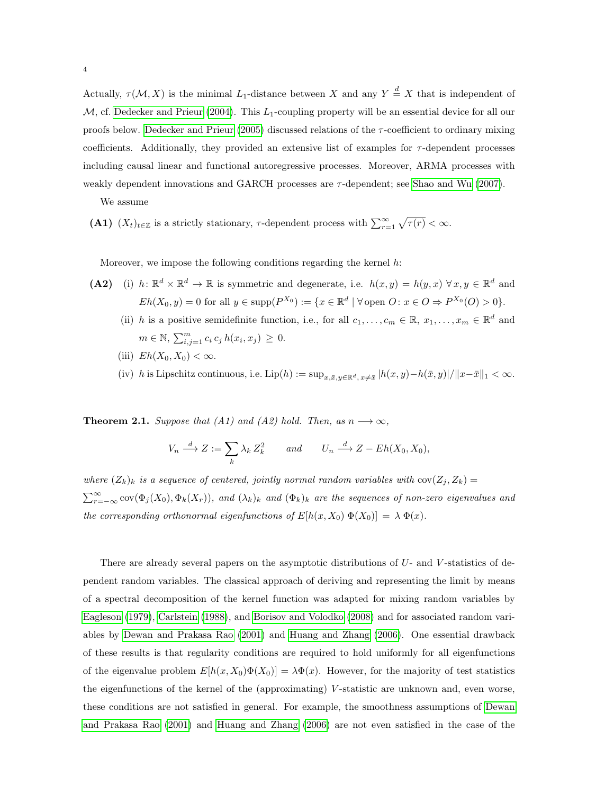Actually,  $\tau(M, X)$  is the minimal L<sub>1</sub>-distance between X and any  $Y \stackrel{d}{=} X$  that is independent of  $M$ , cf. [Dedecker and Prieur](#page-32-0) [\(2004\)](#page-32-0). This  $L_1$ -coupling property will be an essential device for all our proofs below. [Dedecker and Prieur](#page-32-5)  $(2005)$  discussed relations of the  $\tau$ -coefficient to ordinary mixing coefficients. Additionally, they provided an extensive list of examples for  $\tau$ -dependent processes including causal linear and functional autoregressive processes. Moreover, ARMA processes with weakly dependent innovations and GARCH processes are  $\tau$ -dependent; see [Shao and Wu](#page-33-7) [\(2007\)](#page-33-7).

We assume

(A1)  $(X_t)_{t\in\mathbb{Z}}$  is a strictly stationary,  $\tau$ -dependent process with  $\sum_{r=1}^{\infty} \sqrt{\tau(r)} < \infty$ .

Moreover, we impose the following conditions regarding the kernel  $h$ :

- (A2) (i)  $h: \mathbb{R}^d \times \mathbb{R}^d \to \mathbb{R}$  is symmetric and degenerate, i.e.  $h(x, y) = h(y, x) \forall x, y \in \mathbb{R}^d$  and  $Eh(X_0, y) = 0$  for all  $y \in \text{supp}(P^{X_0}) := \{x \in \mathbb{R}^d \mid \forall \text{ open } O : x \in O \Rightarrow P^{X_0}(O) > 0\}.$ 
	- (ii) h is a positive semidefinite function, i.e., for all  $c_1, \ldots, c_m \in \mathbb{R}, x_1, \ldots, x_m \in \mathbb{R}^d$  and  $m \in \mathbb{N}, \sum_{i,j=1}^{m} c_i c_j h(x_i, x_j) \geq 0.$
	- (iii)  $Eh(X_0, X_0) < \infty$ .
	- (iv) h is Lipschitz continuous, i.e.  $\text{Lip}(h) := \sup_{x,\bar{x},y \in \mathbb{R}^d, x \neq \bar{x}} |h(x,y)-h(\bar{x},y)|/||x-\bar{x}||_1 < \infty$ .

<span id="page-4-0"></span>**Theorem 2.1.** Suppose that (A1) and (A2) hold. Then, as  $n \rightarrow \infty$ ,

$$
V_n \xrightarrow{d} Z := \sum_k \lambda_k Z_k^2 \qquad and \qquad U_n \xrightarrow{d} Z - Eh(X_0, X_0),
$$

where  $(Z_k)_k$  is a sequence of centered, jointly normal random variables with  $cov(Z_j, Z_k) =$  $\sum_{r=-\infty}^{\infty}$  cov $(\Phi_j(X_0), \Phi_k(X_r))$ , and  $(\lambda_k)_k$  and  $(\Phi_k)_k$  are the sequences of non-zero eigenvalues and the corresponding orthonormal eigenfunctions of  $E[h(x, X_0) \Phi(X_0)] = \lambda \Phi(x)$ .

There are already several papers on the asymptotic distributions of U- and V-statistics of dependent random variables. The classical approach of deriving and representing the limit by means of a spectral decomposition of the kernel function was adapted for mixing random variables by [Eagleson](#page-32-1) [\(1979\)](#page-32-1), [Carlstein](#page-32-2) [\(1988\)](#page-32-2), and [Borisov and Volodko](#page-32-3) [\(2008\)](#page-32-3) and for associated random variables by [Dewan and Prakasa Rao](#page-32-4) [\(2001\)](#page-32-4) and [Huang and Zhang](#page-33-2) [\(2006\)](#page-33-2). One essential drawback of these results is that regularity conditions are required to hold uniformly for all eigenfunctions of the eigenvalue problem  $E[h(x, X_0)\Phi(X_0)] = \lambda \Phi(x)$ . However, for the majority of test statistics the eigenfunctions of the kernel of the (approximating)  $V$ -statistic are unknown and, even worse, these conditions are not satisfied in general. For example, the smoothness assumptions of [Dewan](#page-32-4) [and Prakasa Rao](#page-32-4) [\(2001\)](#page-32-4) and [Huang and Zhang](#page-33-2) [\(2006\)](#page-33-2) are not even satisfied in the case of the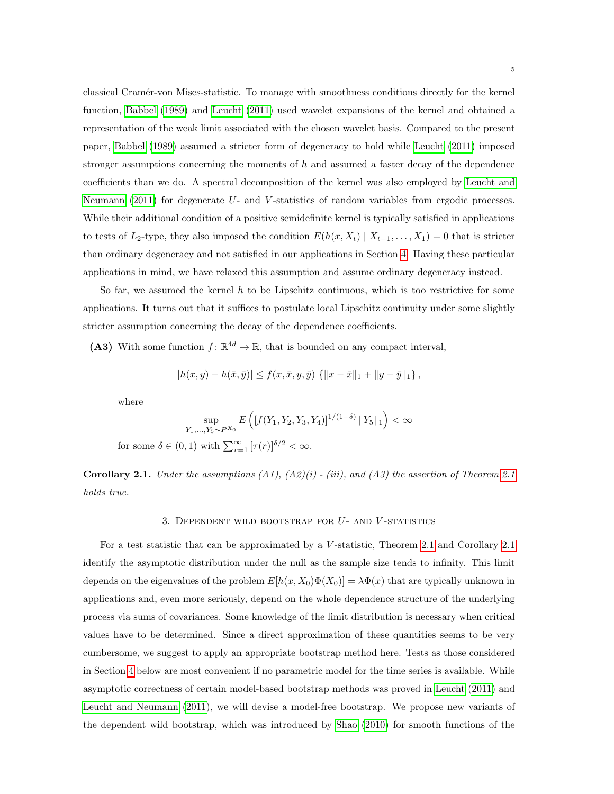classical Cram´er-von Mises-statistic. To manage with smoothness conditions directly for the kernel function, [Babbel](#page-32-6) [\(1989\)](#page-32-6) and [Leucht](#page-33-4) [\(2011\)](#page-33-4) used wavelet expansions of the kernel and obtained a representation of the weak limit associated with the chosen wavelet basis. Compared to the present paper, [Babbel](#page-32-6) [\(1989\)](#page-32-6) assumed a stricter form of degeneracy to hold while [Leucht](#page-33-4) [\(2011\)](#page-33-4) imposed stronger assumptions concerning the moments of  $h$  and assumed a faster decay of the dependence coefficients than we do. A spectral decomposition of the kernel was also employed by [Leucht and](#page-33-3) [Neumann](#page-33-3) [\(2011\)](#page-33-3) for degenerate U- and V-statistics of random variables from ergodic processes. While their additional condition of a positive semidefinite kernel is typically satisfied in applications to tests of L<sub>2</sub>-type, they also imposed the condition  $E(h(x, X_t) | X_{t-1}, \ldots, X_1) = 0$  that is stricter than ordinary degeneracy and not satisfied in our applications in Section [4.](#page-8-0) Having these particular applications in mind, we have relaxed this assumption and assume ordinary degeneracy instead.

So far, we assumed the kernel  $h$  to be Lipschitz continuous, which is too restrictive for some applications. It turns out that it suffices to postulate local Lipschitz continuity under some slightly stricter assumption concerning the decay of the dependence coefficients.

(A3) With some function  $f: \mathbb{R}^{4d} \to \mathbb{R}$ , that is bounded on any compact interval,

$$
|h(x,y) - h(\bar{x},\bar{y})| \le f(x,\bar{x},y,\bar{y}) \{ ||x-\bar{x}||_1 + ||y-\bar{y}||_1 \},\
$$

where

$$
\sup_{Y_1,\ldots,Y_5\sim P^{X_0}} E\left( [f(Y_1,Y_2,Y_3,Y_4)]^{1/(1-\delta)} \|Y_5\|_1 \right) < \infty
$$
 for some  $\delta \in (0,1)$  with  $\sum_{r=1}^{\infty} [\tau(r)]^{\delta/2} < \infty$ .

<span id="page-5-1"></span>**Corollary [2.1](#page-4-0).** Under the assumptions  $(A1)$ ,  $(A2)(i)$  - (iii), and  $(A3)$  the assertion of Theorem 2.1 holds true.

#### 3. DEPENDENT WILD BOOTSTRAP FOR  $U$ - AND  $V$ -STATISTICS

<span id="page-5-0"></span>For a test statistic that can be approximated by a V-statistic, Theorem [2.1](#page-5-1) and Corollary 2.1 identify the asymptotic distribution under the null as the sample size tends to infinity. This limit depends on the eigenvalues of the problem  $E[h(x, X_0)\Phi(X_0)] = \lambda \Phi(x)$  that are typically unknown in applications and, even more seriously, depend on the whole dependence structure of the underlying process via sums of covariances. Some knowledge of the limit distribution is necessary when critical values have to be determined. Since a direct approximation of these quantities seems to be very cumbersome, we suggest to apply an appropriate bootstrap method here. Tests as those considered in Section [4](#page-8-0) below are most convenient if no parametric model for the time series is available. While asymptotic correctness of certain model-based bootstrap methods was proved in [Leucht](#page-33-4) [\(2011\)](#page-33-4) and [Leucht and Neumann](#page-33-3) [\(2011\)](#page-33-3), we will devise a model-free bootstrap. We propose new variants of the dependent wild bootstrap, which was introduced by [Shao](#page-33-0) [\(2010\)](#page-33-0) for smooth functions of the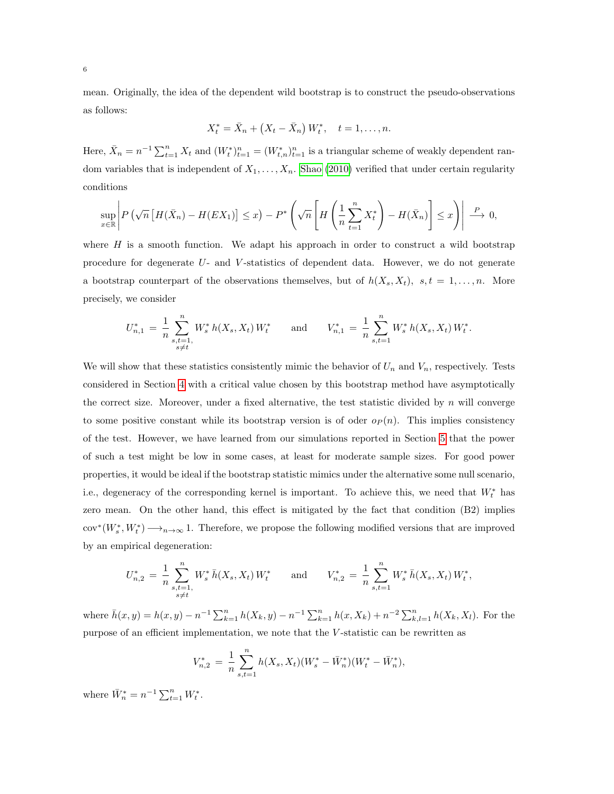mean. Originally, the idea of the dependent wild bootstrap is to construct the pseudo-observations as follows:

$$
X_t^* = \bar{X}_n + (X_t - \bar{X}_n) W_t^*, \quad t = 1, \dots, n.
$$

Here,  $\bar{X}_n = n^{-1} \sum_{t=1}^n X_t$  and  $(W_t^*)_{t=1}^n = (W_{t,n}^*)_{t=1}^n$  is a triangular scheme of weakly dependent random variables that is independent of  $X_1, \ldots, X_n$ . [Shao](#page-33-0) [\(2010\)](#page-33-0) verified that under certain regularity conditions

$$
\sup_{x\in\mathbb{R}}\left|P\left(\sqrt{n}\left[H(\bar{X}_n)-H(EX_1)\right]\leq x\right)-P^*\left(\sqrt{n}\left[H\left(\frac{1}{n}\sum_{t=1}^n X_t^*\right)-H(\bar{X}_n)\right]\leq x\right)\right|\xrightarrow{P} 0,
$$

where  $H$  is a smooth function. We adapt his approach in order to construct a wild bootstrap procedure for degenerate  $U$ - and  $V$ -statistics of dependent data. However, we do not generate a bootstrap counterpart of the observations themselves, but of  $h(X_s, X_t)$ ,  $s, t = 1, \ldots, n$ . More precisely, we consider

$$
U_{n,1}^* = \frac{1}{n} \sum_{\substack{s,t=1,\\s \neq t}}^n W_s^* h(X_s, X_t) W_t^* \quad \text{and} \quad V_{n,1}^* = \frac{1}{n} \sum_{s,t=1}^n W_s^* h(X_s, X_t) W_t^*.
$$

We will show that these statistics consistently mimic the behavior of  $U_n$  and  $V_n$ , respectively. Tests considered in Section [4](#page-8-0) with a critical value chosen by this bootstrap method have asymptotically the correct size. Moreover, under a fixed alternative, the test statistic divided by  $n$  will converge to some positive constant while its bootstrap version is of oder  $o_P(n)$ . This implies consistency of the test. However, we have learned from our simulations reported in Section [5](#page-11-0) that the power of such a test might be low in some cases, at least for moderate sample sizes. For good power properties, it would be ideal if the bootstrap statistic mimics under the alternative some null scenario, i.e., degeneracy of the corresponding kernel is important. To achieve this, we need that  $W_t^*$  has zero mean. On the other hand, this effect is mitigated by the fact that condition (B2) implies  $cov^*(W_s^*, W_t^*) \longrightarrow_{n \to \infty} 1$ . Therefore, we propose the following modified versions that are improved by an empirical degeneration:

$$
U_{n,2}^* = \frac{1}{n} \sum_{\substack{s,t=1,\\s\neq t}}^n W_s^* \, \bar{h}(X_s, X_t) \, W_t^* \qquad \text{and} \qquad V_{n,2}^* = \frac{1}{n} \sum_{s,t=1}^n W_s^* \, \bar{h}(X_s, X_t) \, W_t^*,
$$

where  $\bar{h}(x,y) = h(x,y) - n^{-1} \sum_{k=1}^{n} h(X_k, y) - n^{-1} \sum_{k=1}^{n} h(x, X_k) + n^{-2} \sum_{k,l=1}^{n} h(X_k, X_l)$ . For the purpose of an efficient implementation, we note that the V -statistic can be rewritten as

$$
V_{n,2}^* = \frac{1}{n} \sum_{s,t=1}^n h(X_s, X_t)(W_s^* - \bar{W}_n^*)(W_t^* - \bar{W}_n^*),
$$

where  $\bar{W}_n^* = n^{-1} \sum_{t=1}^n W_t^*$ .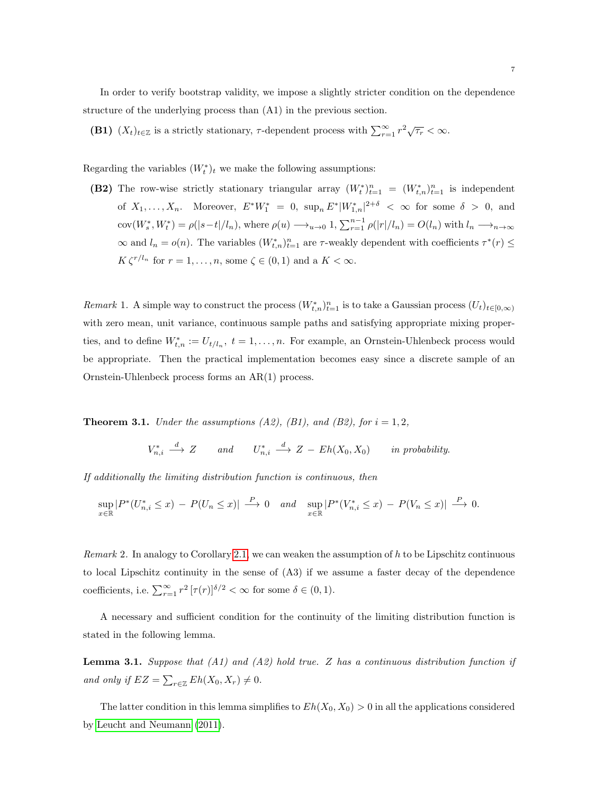In order to verify bootstrap validity, we impose a slightly stricter condition on the dependence structure of the underlying process than (A1) in the previous section.

(B1)  $(X_t)_{t\in\mathbb{Z}}$  is a strictly stationary,  $\tau$ -dependent process with  $\sum_{r=1}^{\infty} r^2 \sqrt{\tau_r} < \infty$ .

Regarding the variables  $(W_t^*)_t$  we make the following assumptions:

(B2) The row-wise strictly stationary triangular array  $(W_t^*)_{t=1}^n = (W_{t,n}^*)_{t=1}^n$  is independent of  $X_1, \ldots, X_n$ . Moreover,  $E^* W_1^* = 0$ ,  $\sup_n E^* |W_{1,n}^*|^{2+\delta} < \infty$  for some  $\delta > 0$ , and  $cov(W_s^*, W_t^*) = \rho(|s-t|/l_n)$ , where  $\rho(u) \longrightarrow_{u \to 0} 1$ ,  $\sum_{r=1}^{n-1} \rho(|r|/l_n) = O(l_n)$  with  $l_n \longrightarrow_{n \to \infty} 1$  $\infty$  and  $l_n = o(n)$ . The variables  $(W^*_{t,n})_{t=1}^n$  are  $\tau$ -weakly dependent with coefficients  $\tau^*(r) \leq$  $K \zeta^{r/l_n}$  for  $r = 1, \ldots, n$ , some  $\zeta \in (0, 1)$  and a  $K < \infty$ .

<span id="page-7-1"></span>Remark 1. A simple way to construct the process  $(W_{t,n}^*)_{t=1}^n$  is to take a Gaussian process  $(U_t)_{t\in[0,\infty)}$ with zero mean, unit variance, continuous sample paths and satisfying appropriate mixing properties, and to define  $W_{t,n}^* := U_{t/l_n}, t = 1, \ldots, n$ . For example, an Ornstein-Uhlenbeck process would be appropriate. Then the practical implementation becomes easy since a discrete sample of an Ornstein-Uhlenbeck process forms an AR(1) process.

<span id="page-7-0"></span>**Theorem 3.1.** Under the assumptions  $(A2)$ ,  $(B1)$ , and  $(B2)$ , for  $i = 1, 2$ ,

$$
V_{n,i}^* \xrightarrow{d} Z \qquad and \qquad U_{n,i}^* \xrightarrow{d} Z - Eh(X_0, X_0) \qquad in \ probability.
$$

If additionally the limiting distribution function is continuous, then

$$
\sup_{x \in \mathbb{R}} |P^*(U_{n,i}^* \le x) - P(U_n \le x)| \xrightarrow{P} 0 \quad and \quad \sup_{x \in \mathbb{R}} |P^*(V_{n,i}^* \le x) - P(V_n \le x)| \xrightarrow{P} 0.
$$

Remark 2. In analogy to Corollary [2.1,](#page-5-1) we can weaken the assumption of  $h$  to be Lipschitz continuous to local Lipschitz continuity in the sense of (A3) if we assume a faster decay of the dependence coefficients, i.e.  $\sum_{r=1}^{\infty} r^2 \left[ \tau(r) \right]^{\delta/2} < \infty$  for some  $\delta \in (0,1)$ .

A necessary and sufficient condition for the continuity of the limiting distribution function is stated in the following lemma.

<span id="page-7-2"></span>**Lemma 3.1.** Suppose that (A1) and (A2) hold true. Z has a continuous distribution function if and only if  $EZ = \sum_{r \in \mathbb{Z}} Eh(X_0, X_r) \neq 0$ .

The latter condition in this lemma simplifies to  $Eh(X_0, X_0) > 0$  in all the applications considered by [Leucht and Neumann](#page-33-3) [\(2011\)](#page-33-3).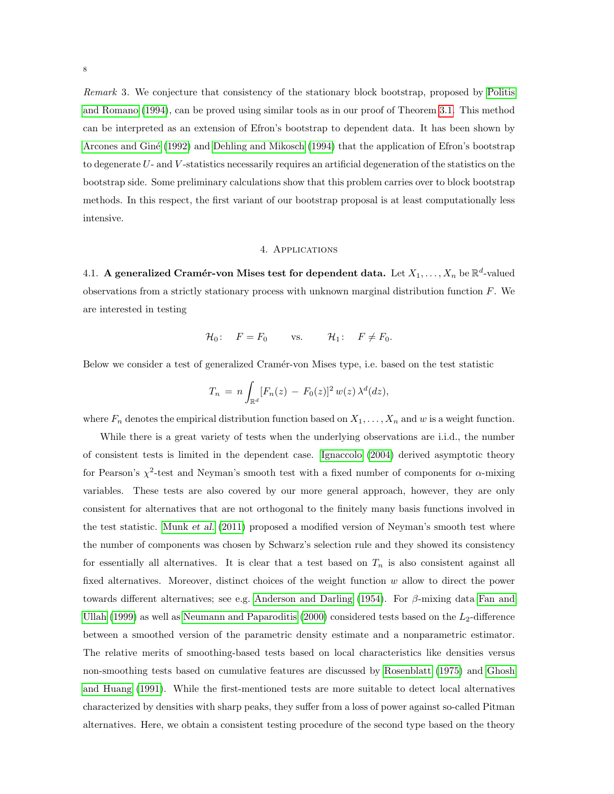Remark 3. We conjecture that consistency of the stationary block bootstrap, proposed by [Politis](#page-33-8) [and Romano](#page-33-8) [\(1994\)](#page-33-8), can be proved using similar tools as in our proof of Theorem [3.1.](#page-7-0) This method can be interpreted as an extension of Efron's bootstrap to dependent data. It has been shown by Arcones and Giné [\(1992\)](#page-32-7) and [Dehling and Mikosch](#page-32-8) [\(1994\)](#page-32-8) that the application of Efron's bootstrap to degenerate U- and V -statistics necessarily requires an artificial degeneration of the statistics on the bootstrap side. Some preliminary calculations show that this problem carries over to block bootstrap methods. In this respect, the first variant of our bootstrap proposal is at least computationally less intensive.

### 4. Applications

<span id="page-8-1"></span><span id="page-8-0"></span>4.1. A generalized Cramér-von Mises test for dependent data. Let  $X_1, \ldots, X_n$  be  $\mathbb{R}^d$ -valued observations from a strictly stationary process with unknown marginal distribution function  $F$ . We are interested in testing

$$
\mathcal{H}_0: \quad F = F_0 \qquad \text{vs.} \qquad \mathcal{H}_1: \quad F \neq F_0.
$$

Below we consider a test of generalized Cramér-von Mises type, i.e. based on the test statistic

$$
T_n = n \int_{\mathbb{R}^d} [F_n(z) - F_0(z)]^2 w(z) \lambda^d(dz),
$$

where  $F_n$  denotes the empirical distribution function based on  $X_1, \ldots, X_n$  and w is a weight function.

While there is a great variety of tests when the underlying observations are i.i.d., the number of consistent tests is limited in the dependent case. [Ignaccolo](#page-33-9) [\(2004\)](#page-33-9) derived asymptotic theory for Pearson's  $\chi^2$ -test and Neyman's smooth test with a fixed number of components for  $\alpha$ -mixing variables. These tests are also covered by our more general approach, however, they are only consistent for alternatives that are not orthogonal to the finitely many basis functions involved in the test statistic. [Munk](#page-33-10) et al. [\(2011\)](#page-33-10) proposed a modified version of Neyman's smooth test where the number of components was chosen by Schwarz's selection rule and they showed its consistency for essentially all alternatives. It is clear that a test based on  $T_n$  is also consistent against all fixed alternatives. Moreover, distinct choices of the weight function w allow to direct the power towards different alternatives; see e.g. [Anderson and Darling](#page-32-9) [\(1954\)](#page-32-9). For β-mixing data [Fan and](#page-32-10) [Ullah](#page-32-10) [\(1999\)](#page-32-10) as well as [Neumann and Paparoditis](#page-33-11) [\(2000\)](#page-33-11) considered tests based on the  $L_2$ -difference between a smoothed version of the parametric density estimate and a nonparametric estimator. The relative merits of smoothing-based tests based on local characteristics like densities versus non-smoothing tests based on cumulative features are discussed by [Rosenblatt](#page-33-12) [\(1975\)](#page-33-12) and [Ghosh](#page-32-11) [and Huang](#page-32-11) [\(1991\)](#page-32-11). While the first-mentioned tests are more suitable to detect local alternatives characterized by densities with sharp peaks, they suffer from a loss of power against so-called Pitman alternatives. Here, we obtain a consistent testing procedure of the second type based on the theory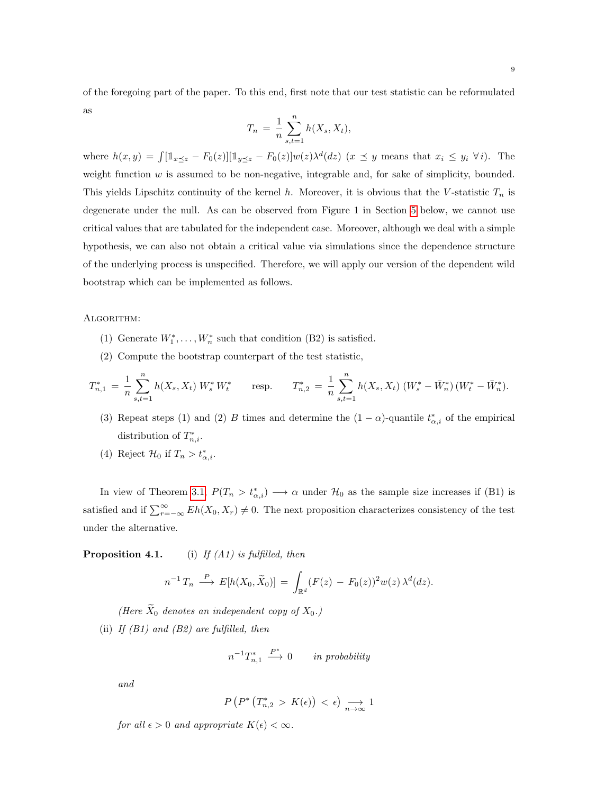of the foregoing part of the paper. To this end, first note that our test statistic can be reformulated as

$$
T_n = \frac{1}{n} \sum_{s,t=1}^n h(X_s, X_t),
$$

where  $h(x,y) = \int [\mathbb{1}_{x \leq z} - F_0(z)][\mathbb{1}_{y \leq z} - F_0(z)]w(z)\lambda^d(dz)$   $(x \leq y$  means that  $x_i \leq y_i \ \forall i$ . The weight function  $w$  is assumed to be non-negative, integrable and, for sake of simplicity, bounded. This yields Lipschitz continuity of the kernel h. Moreover, it is obvious that the V-statistic  $T_n$  is degenerate under the null. As can be observed from Figure 1 in Section [5](#page-11-0) below, we cannot use critical values that are tabulated for the independent case. Moreover, although we deal with a simple hypothesis, we can also not obtain a critical value via simulations since the dependence structure of the underlying process is unspecified. Therefore, we will apply our version of the dependent wild bootstrap which can be implemented as follows.

## ALGORITHM:

- (1) Generate  $W_1^*, \ldots, W_n^*$  such that condition (B2) is satisfied.
- (2) Compute the bootstrap counterpart of the test statistic,

$$
T_{n,1}^* = \frac{1}{n} \sum_{s,t=1}^n h(X_s, X_t) W_s^* W_t^* \qquad \text{resp.} \qquad T_{n,2}^* = \frac{1}{n} \sum_{s,t=1}^n h(X_s, X_t) (W_s^* - \bar{W}_n^*) (W_t^* - \bar{W}_n^*).
$$

(3) Repeat steps (1) and (2) B times and determine the  $(1 - \alpha)$ -quantile  $t^*_{\alpha,i}$  of the empirical distribution of  $T_{n,i}^*$ .

(4) Reject  $\mathcal{H}_0$  if  $T_n > t_{\alpha,i}^*$ .

In view of Theorem [3.1,](#page-7-0)  $P(T_n > t_{\alpha,i}^*) \longrightarrow \alpha$  under  $\mathcal{H}_0$  as the sample size increases if (B1) is satisfied and if  $\sum_{r=-\infty}^{\infty} Eh(X_0, X_r) \neq 0$ . The next proposition characterizes consistency of the test under the alternative.

**Proposition 4.1.** (i) If  $(A1)$  is fulfilled, then

$$
n^{-1} T_n \stackrel{P}{\longrightarrow} E[h(X_0, \widetilde{X}_0)] = \int_{\mathbb{R}^d} (F(z) - F_0(z))^2 w(z) \, \lambda^d(dz).
$$

(Here  $\widetilde{X}_0$  denotes an independent copy of  $X_0$ .) (ii) If  $(B1)$  and  $(B2)$  are fulfilled, then

$$
n^{-1}T_{n,1}^* \xrightarrow{P^*} 0 \qquad in \text{ probability}
$$

and

$$
P\left(P^*\left(T_{n,2}^* > K(\epsilon)\right) < \epsilon\right) \underset{n \to \infty}{\longrightarrow} 1
$$

for all  $\epsilon > 0$  and appropriate  $K(\epsilon) < \infty$ .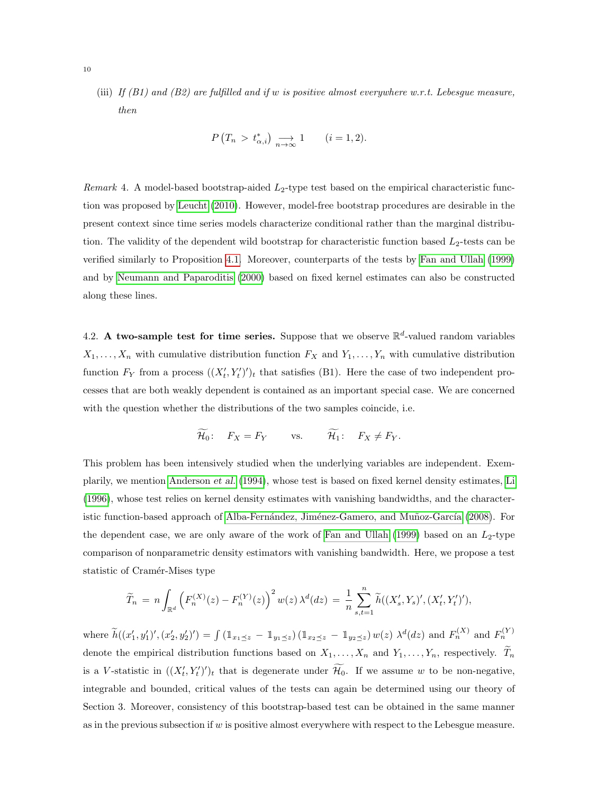(iii) If  $(B1)$  and  $(B2)$  are fulfilled and if w is positive almost everywhere w.r.t. Lebesgue measure, then

$$
P(T_n > t_{\alpha,i}^*) \underset{n \to \infty}{\longrightarrow} 1 \qquad (i = 1, 2).
$$

Remark 4. A model-based bootstrap-aided  $L_2$ -type test based on the empirical characteristic function was proposed by [Leucht](#page-33-13) [\(2010\)](#page-33-13). However, model-free bootstrap procedures are desirable in the present context since time series models characterize conditional rather than the marginal distribution. The validity of the dependent wild bootstrap for characteristic function based  $L_2$ -tests can be verified similarly to Proposition [4.1.](#page-0-0) Moreover, counterparts of the tests by [Fan and Ullah](#page-32-10) [\(1999\)](#page-32-10) and by [Neumann and Paparoditis](#page-33-11) [\(2000\)](#page-33-11) based on fixed kernel estimates can also be constructed along these lines.

4.2. A two-sample test for time series. Suppose that we observe  $\mathbb{R}^d$ -valued random variables  $X_1, \ldots, X_n$  with cumulative distribution function  $F_X$  and  $Y_1, \ldots, Y_n$  with cumulative distribution function  $F_Y$  from a process  $((X'_t, Y'_t)')_t$  that satisfies (B1). Here the case of two independent processes that are both weakly dependent is contained as an important special case. We are concerned with the question whether the distributions of the two samples coincide, i.e.

$$
\widetilde{\mathcal{H}_0}: \quad F_X = F_Y \qquad \text{vs.} \qquad \widetilde{\mathcal{H}_1}: \quad F_X \neq F_Y.
$$

This problem has been intensively studied when the underlying variables are independent. Exemplarily, we mention [Anderson](#page-32-12) et al. [\(1994\)](#page-32-12), whose test is based on fixed kernel density estimates, [Li](#page-33-14) [\(1996\)](#page-33-14), whose test relies on kernel density estimates with vanishing bandwidths, and the character-istic function-based approach of Alba-Fernández, Jiménez-Gamero, and Muñoz-García [\(2008\)](#page-32-13). For the dependent case, we are only aware of the work of [Fan and Ullah](#page-32-10) [\(1999\)](#page-32-10) based on an  $L_2$ -type comparison of nonparametric density estimators with vanishing bandwidth. Here, we propose a test statistic of Cramér-Mises type

$$
\widetilde{T}_n = n \int_{\mathbb{R}^d} \left( F_n^{(X)}(z) - F_n^{(Y)}(z) \right)^2 w(z) \, \lambda^d(dz) = \frac{1}{n} \sum_{s,t=1}^n \widetilde{h}((X'_s, Y_s)', (X'_t, Y'_t)'),
$$

where  $\tilde{h}((x'_1, y'_1)', (x'_2, y'_2)') = \int (1_{x_1 \leq z} - 1_{y_1 \leq z}) (1_{x_2 \leq z} - 1_{y_2 \leq z}) w(z) \lambda^d(dz)$  and  $F_n^{(X)}$  and  $F_n^{(Y)}$ denote the empirical distribution functions based on  $X_1, \ldots, X_n$  and  $Y_1, \ldots, Y_n$ , respectively.  $\widetilde{T}_n$ is a V-statistic in  $((X'_t, Y'_t)')_t$  that is degenerate under  $\mathcal{H}_0$ . If we assume w to be non-negative, integrable and bounded, critical values of the tests can again be determined using our theory of Section 3. Moreover, consistency of this bootstrap-based test can be obtained in the same manner as in the previous subsection if w is positive almost everywhere with respect to the Lebesgue measure.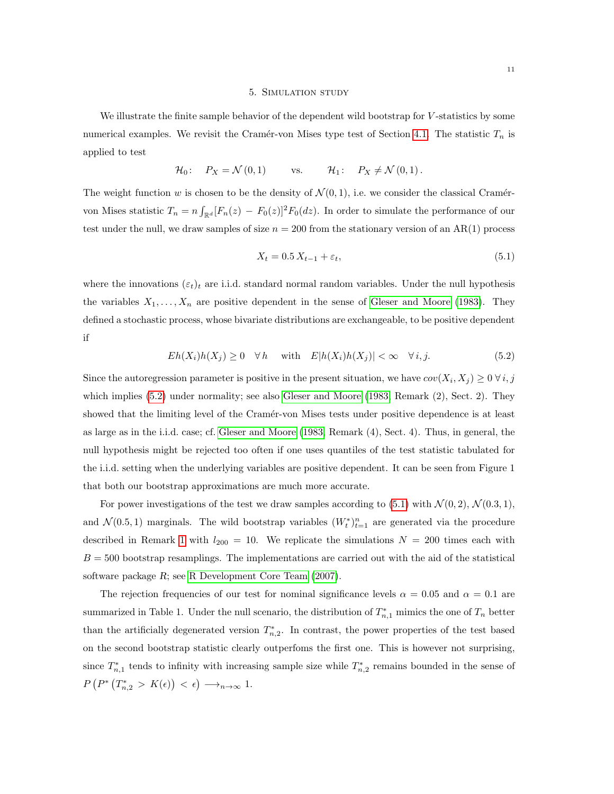#### 5. Simulation study

<span id="page-11-0"></span>We illustrate the finite sample behavior of the dependent wild bootstrap for V-statistics by some numerical examples. We revisit the Cramér-von Mises type test of Section [4.1.](#page-8-1) The statistic  $T_n$  is applied to test

$$
\mathcal{H}_0: \quad P_X = \mathcal{N}(0,1) \qquad \text{vs.} \qquad \mathcal{H}_1: \quad P_X \neq \mathcal{N}(0,1).
$$

The weight function w is chosen to be the density of  $\mathcal{N}(0, 1)$ , i.e. we consider the classical Cramérvon Mises statistic  $T_n = n \int_{\mathbb{R}^d} [F_n(z) - F_0(z)]^2 F_0(dz)$ . In order to simulate the performance of our test under the null, we draw samples of size  $n = 200$  from the stationary version of an AR(1) process

<span id="page-11-2"></span>
$$
X_t = 0.5 X_{t-1} + \varepsilon_t,\tag{5.1}
$$

where the innovations  $(\varepsilon_t)_t$  are i.i.d. standard normal random variables. Under the null hypothesis the variables  $X_1, \ldots, X_n$  are positive dependent in the sense of [Gleser and Moore](#page-33-5) [\(1983\)](#page-33-5). They defined a stochastic process, whose bivariate distributions are exchangeable, to be positive dependent if

<span id="page-11-1"></span>
$$
Eh(X_i)h(X_j) \ge 0 \quad \forall h \quad \text{with} \quad E|h(X_i)h(X_j)| < \infty \quad \forall i, j. \tag{5.2}
$$

Since the autoregression parameter is positive in the present situation, we have  $cov(X_i, X_j) \geq 0 \,\forall \,i, j$ which implies [\(5.2\)](#page-11-1) under normality; see also [Gleser and Moore](#page-33-5) [\(1983,](#page-33-5) Remark (2), Sect. 2). They showed that the limiting level of the Cramér-von Mises tests under positive dependence is at least as large as in the i.i.d. case; cf. [Gleser and Moore](#page-33-5) [\(1983,](#page-33-5) Remark (4), Sect. 4). Thus, in general, the null hypothesis might be rejected too often if one uses quantiles of the test statistic tabulated for the i.i.d. setting when the underlying variables are positive dependent. It can be seen from Figure 1 that both our bootstrap approximations are much more accurate.

For power investigations of the test we draw samples according to  $(5.1)$  with  $\mathcal{N}(0, 2)$ ,  $\mathcal{N}(0.3, 1)$ , and  $\mathcal{N}(0.5, 1)$  marginals. The wild bootstrap variables  $(W_t^*)_{t=1}^n$  are generated via the procedure described in Remark [1](#page-7-1) with  $l_{200} = 10$ . We replicate the simulations  $N = 200$  times each with  $B = 500$  bootstrap resamplings. The implementations are carried out with the aid of the statistical software package R; see [R Development Core Team](#page-33-15) [\(2007\)](#page-33-15).

The rejection frequencies of our test for nominal significance levels  $\alpha = 0.05$  and  $\alpha = 0.1$  are summarized in Table 1. Under the null scenario, the distribution of  $T_{n,1}^*$  mimics the one of  $T_n$  better than the artificially degenerated version  $T_{n,2}^*$ . In contrast, the power properties of the test based on the second bootstrap statistic clearly outperfoms the first one. This is however not surprising, since  $T_{n,1}^*$  tends to infinity with increasing sample size while  $T_{n,2}^*$  remains bounded in the sense of  $P(P^*(T_{n,2}^* > K(\epsilon)) < \epsilon) \longrightarrow_{n \to \infty} 1.$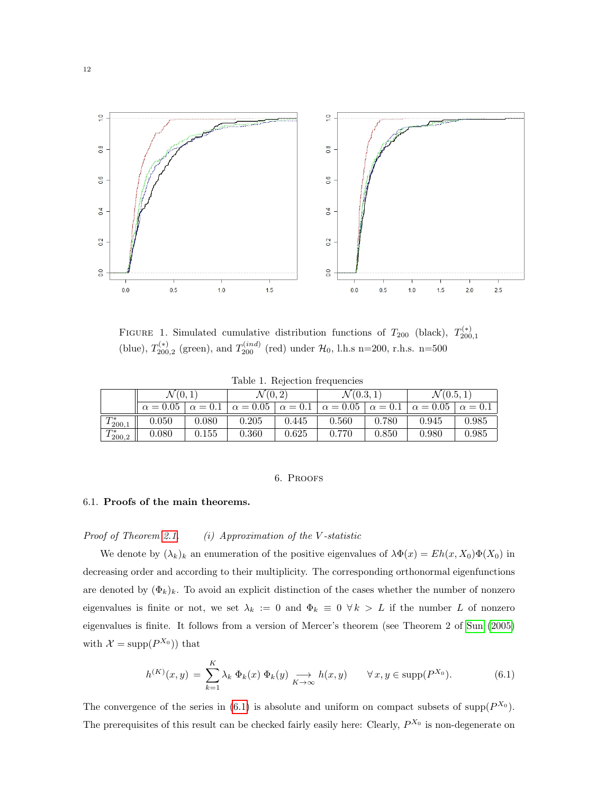

FIGURE 1. Simulated cumulative distribution functions of  $T_{200}$  (black),  $T_{200,1}^{(*)}$ (blue),  $T_{200,2}^{(*)}$  (green), and  $T_{200}^{(ind)}$  (red) under  $\mathcal{H}_0$ , l.h.s n=200, r.h.s. n=500

|  | Table 1. Rejection frequencies |  |
|--|--------------------------------|--|
|  |                                |  |

|               | $\mathcal{N}(0,1)$ |                | $\mathcal{N}(0,2)$               |       | $\mathcal{N}(0.3, 1)$            |       | $\mathcal{N}(0.5, 1)$ |                |
|---------------|--------------------|----------------|----------------------------------|-------|----------------------------------|-------|-----------------------|----------------|
|               | $\alpha = 0.05$    | $\alpha = 0.1$ | $\alpha = 0.05$   $\alpha = 0.1$ |       | $\alpha = 0.05$   $\alpha = 0.1$ |       | $\alpha = 0.05$       | $\alpha = 0.1$ |
| $T_{200,1}^*$ | 0.050              | 0.080          | 0.205                            | 0.445 | 0.560                            | 0.780 | 0.945                 | 0.985          |
| $T_{200,2}^*$ | 0.080              | 0.155          | 0.360                            | 0.625 | 0.770                            | 0.850 | 0.980                 | 0.985          |

## 6. Proofs

## <span id="page-12-0"></span>6.1. Proofs of the main theorems.

# Proof of Theorem [2.1.](#page-4-0)  $(i)$  Approximation of the V-statistic

We denote by  $(\lambda_k)_k$  an enumeration of the positive eigenvalues of  $\lambda \Phi(x) = Eh(x, X_0)\Phi(X_0)$  in decreasing order and according to their multiplicity. The corresponding orthonormal eigenfunctions are denoted by  $(\Phi_k)_k$ . To avoid an explicit distinction of the cases whether the number of nonzero eigenvalues is finite or not, we set  $\lambda_k := 0$  and  $\Phi_k \equiv 0 \forall k > L$  if the number L of nonzero eigenvalues is finite. It follows from a version of Mercer's theorem (see Theorem 2 of [Sun](#page-33-16) [\(2005\)](#page-33-16) with  $\mathcal{X} = \text{supp}(P^{X_0})$  that

<span id="page-12-1"></span>
$$
h^{(K)}(x,y) = \sum_{k=1}^{K} \lambda_k \, \Phi_k(x) \, \Phi_k(y) \underset{K \to \infty}{\longrightarrow} h(x,y) \qquad \forall \, x, y \in \text{supp}(P^{X_0}). \tag{6.1}
$$

The convergence of the series in [\(6.1\)](#page-12-1) is absolute and uniform on compact subsets of supp( $P^{X_0}$ ). The prerequisites of this result can be checked fairly easily here: Clearly,  $P^{X_0}$  is non-degenerate on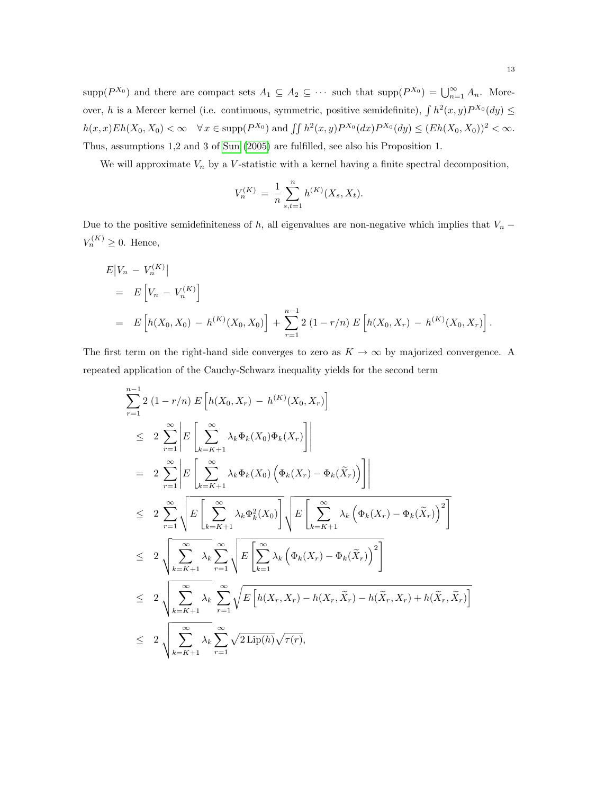$\text{supp}(P^{X_0})$  and there are compact sets  $A_1 \subseteq A_2 \subseteq \cdots$  such that  $\text{supp}(P^{X_0}) = \bigcup_{n=1}^{\infty} A_n$ . Moreover, h is a Mercer kernel (i.e. continuous, symmetric, positive semidefinite),  $\int h^2(x, y) P^{X_0}(dy) \leq$  $h(x, x) Eh(X_0, X_0) < \infty \quad \forall x \in \text{supp}(P^{X_0}) \text{ and } \iint h^2(x, y) P^{X_0}(dx) P^{X_0}(dy) \leq (Eh(X_0, X_0))^2 < \infty.$ Thus, assumptions 1,2 and 3 of [Sun](#page-33-16) [\(2005\)](#page-33-16) are fulfilled, see also his Proposition 1.

We will approximate  $V_n$  by a V-statistic with a kernel having a finite spectral decomposition,

$$
V_n^{(K)} = \frac{1}{n} \sum_{s,t=1}^n h^{(K)}(X_s, X_t).
$$

Due to the positive semidefiniteness of h, all eigenvalues are non-negative which implies that  $V_n$  −  $V_n^{(K)} \geq 0$ . Hence,

$$
E|V_n - V_n^{(K)}|
$$
  
=  $E\left[V_n - V_n^{(K)}\right]$   
=  $E\left[h(X_0, X_0) - h^{(K)}(X_0, X_0)\right] + \sum_{r=1}^{n-1} 2(1 - r/n) E\left[h(X_0, X_r) - h^{(K)}(X_0, X_r)\right].$ 

The first term on the right-hand side converges to zero as  $K \to \infty$  by majorized convergence. A repeated application of the Cauchy-Schwarz inequality yields for the second term

$$
\sum_{r=1}^{n-1} 2 (1 - r/n) E\left[h(X_0, X_r) - h^{(K)}(X_0, X_r)\right]
$$
\n
$$
\leq 2 \sum_{r=1}^{\infty} \left| E\left[\sum_{k=K+1}^{\infty} \lambda_k \Phi_k(X_0) \Phi_k(X_r)\right] \right|
$$
\n
$$
= 2 \sum_{r=1}^{\infty} \left| E\left[\sum_{k=K+1}^{\infty} \lambda_k \Phi_k(X_0) \left(\Phi_k(X_r) - \Phi_k(\tilde{X}_r)\right) \right] \right|
$$
\n
$$
\leq 2 \sum_{r=1}^{\infty} \sqrt{E\left[\sum_{k=K+1}^{\infty} \lambda_k \Phi_k^2(X_0)\right] \sqrt{E\left[\sum_{k=K+1}^{\infty} \lambda_k \left(\Phi_k(X_r) - \Phi_k(\tilde{X}_r)\right)^2\right]}}
$$
\n
$$
\leq 2 \sqrt{\sum_{k=K+1}^{\infty} \lambda_k} \sum_{r=1}^{\infty} \sqrt{E\left[\sum_{k=1}^{\infty} \lambda_k \left(\Phi_k(X_r) - \Phi_k(\tilde{X}_r)\right)^2\right]}
$$
\n
$$
\leq 2 \sqrt{\sum_{k=K+1}^{\infty} \lambda_k} \sum_{r=1}^{\infty} \sqrt{E\left[h(X_r, X_r) - h(X_r, \tilde{X}_r) - h(\tilde{X}_r, X_r) + h(\tilde{X}_r, \tilde{X}_r)\right]}
$$
\n
$$
\leq 2 \sqrt{\sum_{k=K+1}^{\infty} \lambda_k} \sum_{r=1}^{\infty} \sqrt{2 \text{Lip}(h)} \sqrt{\tau(r)},
$$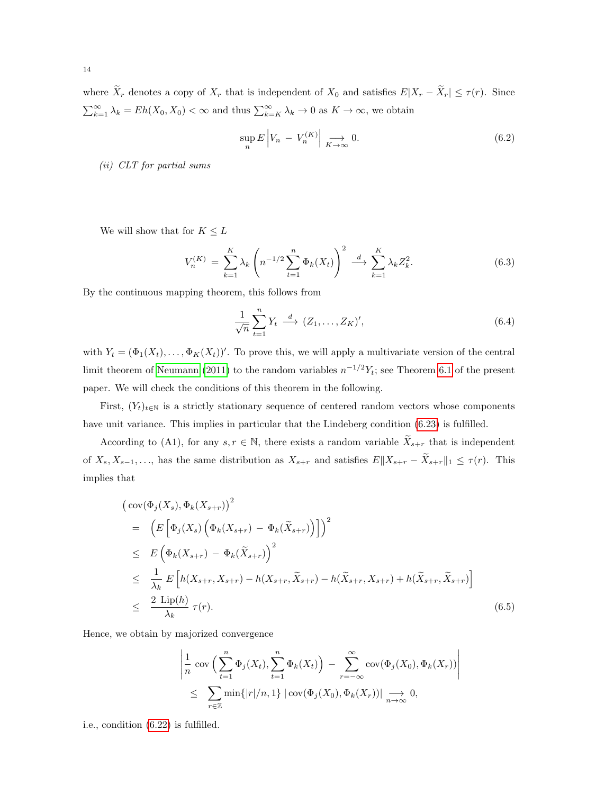where  $\widetilde{X}_r$  denotes a copy of  $X_r$  that is independent of  $X_0$  and satisfies  $E|X_r - \widetilde{X}_r| \leq \tau(r)$ . Since  $\sum_{k=1}^{\infty} \lambda_k = Eh(X_0, X_0) < \infty$  and thus  $\sum_{k=K}^{\infty} \lambda_k \to 0$  as  $K \to \infty$ , we obtain

<span id="page-14-2"></span>
$$
\sup_{n} E\left|V_{n} - V_{n}^{(K)}\right| \xrightarrow[K \to \infty]{} 0. \tag{6.2}
$$

(ii) CLT for partial sums

We will show that for  $K\leq L$ 

<span id="page-14-3"></span>
$$
V_n^{(K)} = \sum_{k=1}^K \lambda_k \left( n^{-1/2} \sum_{t=1}^n \Phi_k(X_t) \right)^2 \xrightarrow{d} \sum_{k=1}^K \lambda_k Z_k^2.
$$
 (6.3)

By the continuous mapping theorem, this follows from

<span id="page-14-1"></span>
$$
\frac{1}{\sqrt{n}} \sum_{t=1}^{n} Y_t \stackrel{d}{\longrightarrow} (Z_1, \dots, Z_K)', \tag{6.4}
$$

with  $Y_t = (\Phi_1(X_t), \ldots, \Phi_K(X_t))'$ . To prove this, we will apply a multivariate version of the central limit theorem of [Neumann](#page-33-6) [\(2011\)](#page-33-6) to the random variables  $n^{-1/2}Y_t$ ; see Theorem [6.1](#page-24-0) of the present paper. We will check the conditions of this theorem in the following.

First,  $(Y_t)_{t\in\mathbb{N}}$  is a strictly stationary sequence of centered random vectors whose components have unit variance. This implies in particular that the Lindeberg condition  $(6.23)$  is fulfilled.

According to (A1), for any  $s, r \in \mathbb{N}$ , there exists a random variable  $\tilde{X}_{s+r}$  that is independent of  $X_s, X_{s-1}, \ldots$ , has the same distribution as  $X_{s+r}$  and satisfies  $E||X_{s+r} - \tilde{X}_{s+r}||_1 \leq \tau(r)$ . This implies that

<span id="page-14-0"></span>
$$
\begin{aligned}\n\left(\cot(\Phi_j(X_s), \Phi_k(X_{s+r}))\right)^2 \\
&= \left(E\left[\Phi_j(X_s)\left(\Phi_k(X_{s+r}) - \Phi_k(\tilde{X}_{s+r})\right)\right]\right)^2 \\
&\leq E\left(\Phi_k(X_{s+r}) - \Phi_k(\tilde{X}_{s+r})\right)^2 \\
&\leq \frac{1}{\lambda_k}E\left[h(X_{s+r}, X_{s+r}) - h(X_{s+r}, \tilde{X}_{s+r}) - h(\tilde{X}_{s+r}, X_{s+r}) + h(\tilde{X}_{s+r}, \tilde{X}_{s+r})\right] \\
&\leq \frac{2\text{ Lip}(h)}{\lambda_k}\,\tau(r).\n\end{aligned} \tag{6.5}
$$

Hence, we obtain by majorized convergence

$$
\left| \frac{1}{n} \operatorname{cov} \left( \sum_{t=1}^{n} \Phi_j(X_t), \sum_{t=1}^{n} \Phi_k(X_t) \right) - \sum_{r=-\infty}^{\infty} \operatorname{cov}(\Phi_j(X_0), \Phi_k(X_r)) \right|
$$
  

$$
\leq \sum_{r \in \mathbb{Z}} \min\{|r|/n, 1\} |\operatorname{cov}(\Phi_j(X_0), \Phi_k(X_r))| \underset{n \to \infty}{\longrightarrow} 0,
$$

i.e., condition [\(6.22\)](#page-24-2) is fulfilled.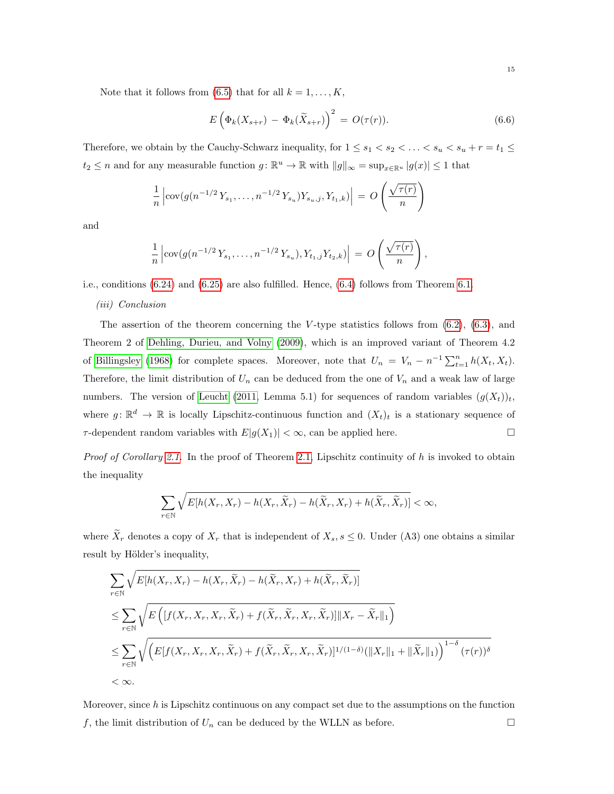Note that it follows from [\(6.5\)](#page-14-0) that for all  $k = 1, ..., K$ ,

$$
E\left(\Phi_k(X_{s+r}) - \Phi_k(\widetilde{X}_{s+r})\right)^2 = O(\tau(r)).\tag{6.6}
$$

Therefore, we obtain by the Cauchy-Schwarz inequality, for  $1 \leq s_1 < s_2 < \ldots < s_u < s_u + r = t_1 \leq$  $t_2 \leq n$  and for any measurable function  $g: \mathbb{R}^u \to \mathbb{R}$  with  $||g||_{\infty} = \sup_{x \in \mathbb{R}^u} |g(x)| \leq 1$  that

$$
\frac{1}{n} \left| \text{cov}(g(n^{-1/2}Y_{s_1}, \dots, n^{-1/2}Y_{s_u}) Y_{s_u,j}, Y_{t_1,k}) \right| = O\left(\frac{\sqrt{\tau(r)}}{n}\right)
$$

and

$$
\frac{1}{n} \left| \operatorname{cov}(g(n^{-1/2}Y_{s_1}, \dots, n^{-1/2}Y_{s_u}), Y_{t_1,j}Y_{t_2,k}) \right| = O\left(\frac{\sqrt{\tau(r)}}{n}\right),
$$

i.e., conditions [\(6.24\)](#page-24-3) and [\(6.25\)](#page-24-4) are also fulfilled. Hence, [\(6.4\)](#page-14-1) follows from Theorem [6.1.](#page-24-0)

(iii) Conclusion

The assertion of the theorem concerning the V-type statistics follows from  $(6.2)$ ,  $(6.3)$ , and Theorem 2 of [Dehling, Durieu, and Volny](#page-32-14) [\(2009\)](#page-32-14), which is an improved variant of Theorem 4.2 of [Billingsley](#page-32-15) [\(1968\)](#page-32-15) for complete spaces. Moreover, note that  $U_n = V_n - n^{-1} \sum_{t=1}^n h(X_t, X_t)$ . Therefore, the limit distribution of  $U_n$  can be deduced from the one of  $V_n$  and a weak law of large numbers. The version of [Leucht](#page-33-4) [\(2011,](#page-33-4) Lemma 5.1) for sequences of random variables  $(g(X_t))_t$ , where  $g: \mathbb{R}^d \to \mathbb{R}$  is locally Lipschitz-continuous function and  $(X_t)_t$  is a stationary sequence of  $\tau$ -dependent random variables with  $E|g(X_1)| < \infty$ , can be applied here.

*Proof of Corollary [2.1.](#page-5-1)* In the proof of Theorem [2.1,](#page-4-0) Lipschitz continuity of  $h$  is invoked to obtain the inequality

$$
\sum_{r \in \mathbb{N}} \sqrt{E[h(X_r, X_r) - h(X_r, \widetilde{X}_r) - h(\widetilde{X}_r, X_r) + h(\widetilde{X}_r, \widetilde{X}_r)]} < \infty,
$$

where  $\widetilde{X}_r$  denotes a copy of  $X_r$  that is independent of  $X_s$ ,  $s \leq 0$ . Under (A3) one obtains a similar result by Hölder's inequality,

$$
\sum_{r \in \mathbb{N}} \sqrt{E[h(X_r, X_r) - h(X_r, \tilde{X}_r) - h(\tilde{X}_r, X_r) + h(\tilde{X}_r, \tilde{X}_r)]}
$$
\n
$$
\leq \sum_{r \in \mathbb{N}} \sqrt{E\left( [f(X_r, X_r, X_r, \tilde{X}_r) + f(\tilde{X}_r, \tilde{X}_r, X_r, \tilde{X}_r)] \|X_r - \tilde{X}_r\|_1 \right)}
$$
\n
$$
\leq \sum_{r \in \mathbb{N}} \sqrt{\left( E[f(X_r, X_r, X_r, \tilde{X}_r) + f(\tilde{X}_r, \tilde{X}_r, X_r, \tilde{X}_r)]^{1/(1-\delta)} (\|X_r\|_1 + \|\tilde{X}_r\|_1) \right)^{1-\delta} (\tau(r))^{\delta}}
$$
\n
$$
< \infty.
$$

Moreover, since  $h$  is Lipschitz continuous on any compact set due to the assumptions on the function f, the limit distribution of  $U_n$  can be deduced by the WLLN as before.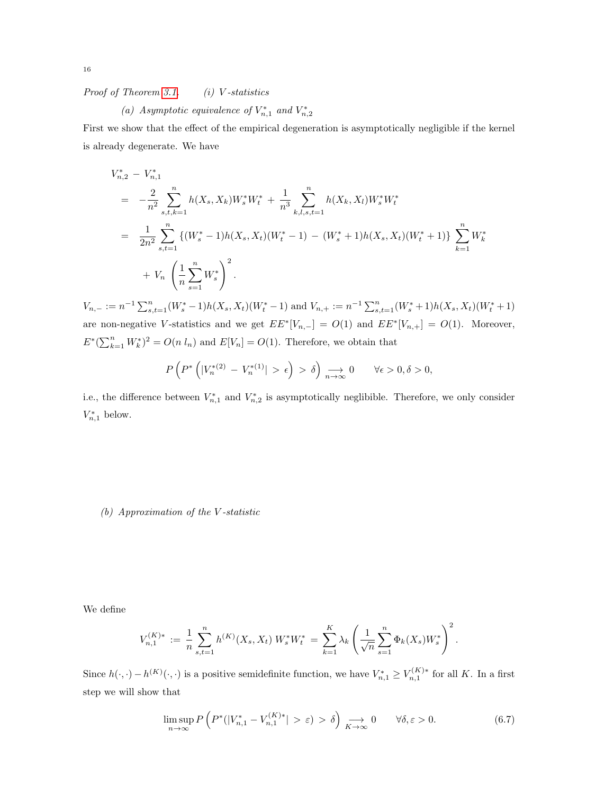Proof of Theorem [3.1.](#page-7-0)  $(i)$  V-statistics

(a) Asymptotic equivalence of  $V_{n,1}^*$  and  $V_{n,2}^*$ 

First we show that the effect of the empirical degeneration is asymptotically negligible if the kernel is already degenerate. We have

$$
V_{n,2}^{*} - V_{n,1}^{*}
$$
\n
$$
= -\frac{2}{n^{2}} \sum_{s,t,k=1}^{n} h(X_{s}, X_{k}) W_{s}^{*} W_{t}^{*} + \frac{1}{n^{3}} \sum_{k,l,s,t=1}^{n} h(X_{k}, X_{l}) W_{s}^{*} W_{t}^{*}
$$
\n
$$
= \frac{1}{2n^{2}} \sum_{s,t=1}^{n} \left\{ (W_{s}^{*} - 1) h(X_{s}, X_{t}) (W_{t}^{*} - 1) - (W_{s}^{*} + 1) h(X_{s}, X_{t}) (W_{t}^{*} + 1) \right\} \sum_{k=1}^{n} W_{k}^{*}
$$
\n
$$
+ V_{n} \left( \frac{1}{n} \sum_{s=1}^{n} W_{s}^{*} \right)^{2}.
$$

 $V_{n,-} := n^{-1} \sum_{s,t=1}^{n} (W_s^* - 1) h(X_s, X_t) (W_t^* - 1)$  and  $V_{n,+} := n^{-1} \sum_{s,t=1}^{n} (W_s^* + 1) h(X_s, X_t) (W_t^* + 1)$ are non-negative V-statistics and we get  $EE^*[V_{n,-}] = O(1)$  and  $EE^*[V_{n,+}] = O(1)$ . Moreover,  $E^*(\sum_{k=1}^n W_k^*)^2 = O(n l_n)$  and  $E[V_n] = O(1)$ . Therefore, we obtain that

$$
P\left(P^*\left(|V_n^{*}(2) - V_n^{*}(1)| > \epsilon\right) > \delta\right) \underset{n \to \infty}{\longrightarrow} 0 \qquad \forall \epsilon > 0, \delta > 0,
$$

i.e., the difference between  $V_{n,1}^*$  and  $V_{n,2}^*$  is asymptotically neglibible. Therefore, we only consider  $V_{n,1}^*$  below.

(b) Approximation of the V -statistic

We define

$$
V_{n,1}^{(K)*} := \frac{1}{n} \sum_{s,t=1}^{n} h^{(K)}(X_s, X_t) W_s^* W_t^* = \sum_{k=1}^{K} \lambda_k \left( \frac{1}{\sqrt{n}} \sum_{s=1}^{n} \Phi_k(X_s) W_s^* \right)^2.
$$

Since  $h(\cdot, \cdot) - h^{(K)}(\cdot, \cdot)$  is a positive semidefinite function, we have  $V_{n,1}^* \ge V_{n,1}^{(K)*}$  for all K. In a first step we will show that

$$
\limsup_{n \to \infty} P\left( P^*(|V_{n,1}^* - V_{n,1}^{(K)*}| > \varepsilon) > \delta \right) \underset{K \to \infty}{\longrightarrow} 0 \qquad \forall \delta, \varepsilon > 0. \tag{6.7}
$$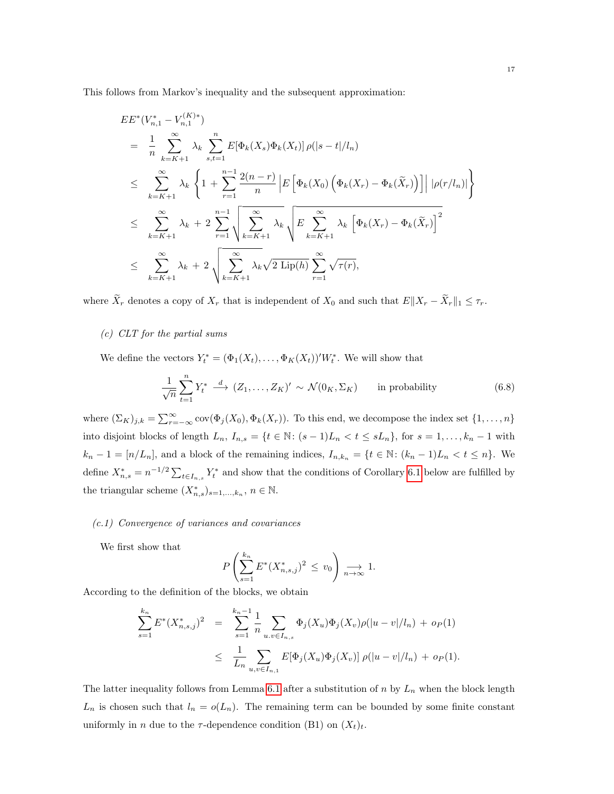This follows from Markov's inequality and the subsequent approximation:

$$
E E^{*}(V_{n,1}^{*} - V_{n,1}^{(K)*})
$$
\n
$$
= \frac{1}{n} \sum_{k=K+1}^{\infty} \lambda_{k} \sum_{s,t=1}^{n} E[\Phi_{k}(X_{s}) \Phi_{k}(X_{t})] \rho(|s-t|/l_{n})
$$
\n
$$
\leq \sum_{k=K+1}^{\infty} \lambda_{k} \left\{ 1 + \sum_{r=1}^{n-1} \frac{2(n-r)}{n} \left| E\left[\Phi_{k}(X_{0}) \left(\Phi_{k}(X_{r}) - \Phi_{k}(\tilde{X}_{r})\right) \right] \right| |\rho(r/l_{n})| \right\}
$$
\n
$$
\leq \sum_{k=K+1}^{\infty} \lambda_{k} + 2 \sum_{r=1}^{n-1} \sqrt{\sum_{k=K+1}^{\infty} \lambda_{k}} \sqrt{E \sum_{k=K+1}^{\infty} \lambda_{k} \left[\Phi_{k}(X_{r}) - \Phi_{k}(\tilde{X}_{r})\right]^{2}}
$$
\n
$$
\leq \sum_{k=K+1}^{\infty} \lambda_{k} + 2 \sqrt{\sum_{k=K+1}^{\infty} \lambda_{k} \sqrt{2 \text{ Lip}(h)} \sum_{r=1}^{\infty} \sqrt{\tau(r)}},
$$

where  $\widetilde{X}_r$  denotes a copy of  $X_r$  that is independent of  $X_0$  and such that  $E||X_r - \widetilde{X}_r||_1 \leq \tau_r$ .

## (c) CLT for the partial sums

We define the vectors  $Y_t^* = (\Phi_1(X_t), \ldots, \Phi_K(X_t))'W_t^*$ . We will show that

<span id="page-17-0"></span>
$$
\frac{1}{\sqrt{n}} \sum_{t=1}^{n} Y_t^* \stackrel{d}{\longrightarrow} (Z_1, \dots, Z_K)' \sim \mathcal{N}(0_K, \Sigma_K) \quad \text{in probability}
$$
 (6.8)

where  $(\Sigma_K)_{j,k} = \sum_{r=-\infty}^{\infty} cov(\Phi_j(X_0), \Phi_k(X_r))$ . To this end, we decompose the index set  $\{1, \ldots, n\}$ into disjoint blocks of length  $L_n$ ,  $I_{n,s} = \{t \in \mathbb{N} : (s-1)L_n < t \le sL_n\}$ , for  $s = 1, \ldots, k_n - 1$  with  $k_n - 1 = [n/L_n]$ , and a block of the remaining indices,  $I_{n,k_n} = \{t \in \mathbb{N} : (k_n - 1)L_n < t \leq n\}$ . We define  $X_{n,s}^* = n^{-1/2} \sum_{t \in I_{n,s}} Y_t^*$  and show that the conditions of Corollary [6.1](#page-25-0) below are fulfilled by the triangular scheme  $(X_{n,s}^*)_{s=1,\ldots,k_n}, n \in \mathbb{N}$ .

# (c.1) Convergence of variances and covariances

We first show that

$$
P\left(\sum_{s=1}^{k_n} E^*(X_{n,s,j}^*)^2 \le v_0\right) \underset{n \to \infty}{\longrightarrow} 1.
$$

According to the definition of the blocks, we obtain

$$
\sum_{s=1}^{k_n} E^*(X_{n,s,j}^*)^2 = \sum_{s=1}^{k_n-1} \frac{1}{n} \sum_{u,v \in I_{n,s}} \Phi_j(X_u) \Phi_j(X_v) \rho(|u-v|/l_n) + o_P(1)
$$
  

$$
\leq \frac{1}{L_n} \sum_{u,v \in I_{n,1}} E[\Phi_j(X_u) \Phi_j(X_v)] \rho(|u-v|/l_n) + o_P(1).
$$

The latter inequality follows from Lemma [6.1](#page-25-1) after a substitution of  $n$  by  $L_n$  when the block length  $L_n$  is chosen such that  $l_n = o(L_n)$ . The remaining term can be bounded by some finite constant uniformly in *n* due to the  $\tau$ -dependence condition (B1) on  $(X_t)_t$ .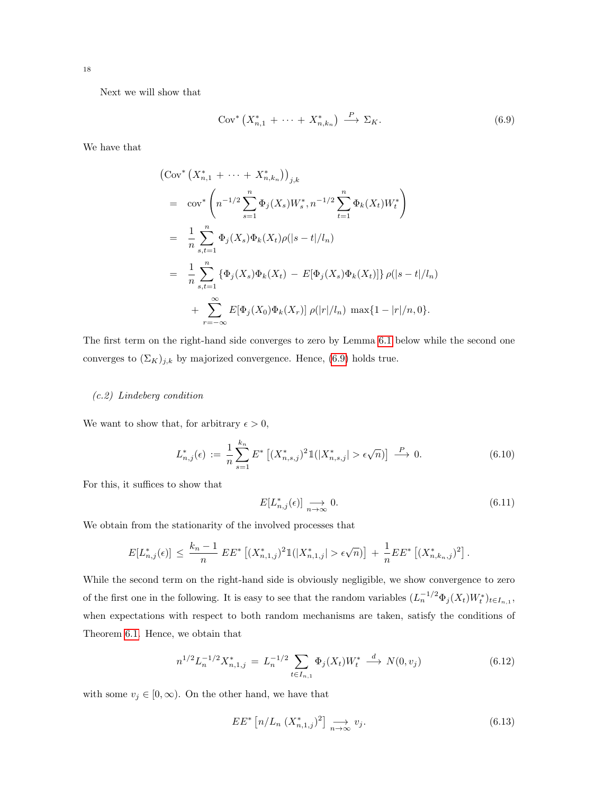Next we will show that

<span id="page-18-0"></span>
$$
Cov^* \left( X_{n,1}^* + \dots + X_{n,k_n}^* \right) \xrightarrow{P} \Sigma_K. \tag{6.9}
$$

We have that

$$
\begin{split}\n&\left(\text{Cov}^*\left(X_{n,1}^* + \dots + X_{n,k_n}^*\right)\right)_{j,k} \\
&= \text{cov}^*\left(n^{-1/2}\sum_{s=1}^n \Phi_j(X_s)W_s^*, n^{-1/2}\sum_{t=1}^n \Phi_k(X_t)W_t^*\right) \\
&= \frac{1}{n}\sum_{s,t=1}^n \Phi_j(X_s)\Phi_k(X_t)\rho(|s-t|/l_n) \\
&= \frac{1}{n}\sum_{s,t=1}^n \left\{\Phi_j(X_s)\Phi_k(X_t) - E[\Phi_j(X_s)\Phi_k(X_t)]\right\}\rho(|s-t|/l_n) \\
&\quad + \sum_{r=-\infty}^\infty E[\Phi_j(X_0)\Phi_k(X_r)]\rho(|r|/l_n)\max\{1-|r|/n,0\}.\n\end{split}
$$

The first term on the right-hand side converges to zero by Lemma [6.1](#page-25-1) below while the second one converges to  $(\Sigma_K)_{j,k}$  by majorized convergence. Hence, [\(6.9\)](#page-18-0) holds true.

## (c.2) Lindeberg condition

We want to show that, for arbitrary  $\epsilon > 0$ ,

$$
L_{n,j}^*(\epsilon) := \frac{1}{n} \sum_{s=1}^{k_n} E^* \left[ (X_{n,s,j}^*)^2 \mathbb{1}(|X_{n,s,j}^*| > \epsilon \sqrt{n}) \right] \xrightarrow{P} 0. \tag{6.10}
$$

For this, it suffices to show that

<span id="page-18-3"></span>
$$
E[L_{n,j}^*(\epsilon)] \underset{n \to \infty}{\longrightarrow} 0. \tag{6.11}
$$

We obtain from the stationarity of the involved processes that

$$
E[L_{n,j}^{*}(\epsilon)] \leq \frac{k_n-1}{n} E E^{*} \left[ (X_{n,1,j}^{*})^2 1(|X_{n,1,j}^{*}| > \epsilon \sqrt{n}) \right] + \frac{1}{n} E E^{*} \left[ (X_{n,k_{n},j}^{*})^2 \right].
$$

While the second term on the right-hand side is obviously negligible, we show convergence to zero of the first one in the following. It is easy to see that the random variables  $(L_n^{-1/2} \Phi_j(X_t) W_t^*)_{t \in I_{n,1}}$ , when expectations with respect to both random mechanisms are taken, satisfy the conditions of Theorem [6.1.](#page-24-0) Hence, we obtain that

<span id="page-18-1"></span>
$$
n^{1/2} L_n^{-1/2} X_{n,1,j}^* = L_n^{-1/2} \sum_{t \in I_{n,1}} \Phi_j(X_t) W_t^* \stackrel{d}{\longrightarrow} N(0, v_j)
$$
(6.12)

with some  $v_j \in [0, \infty)$ . On the other hand, we have that

<span id="page-18-2"></span>
$$
EE^* \left[ n/L_n \ (X_{n,1,j}^*)^2 \right] \underset{n \to \infty}{\longrightarrow} v_j. \tag{6.13}
$$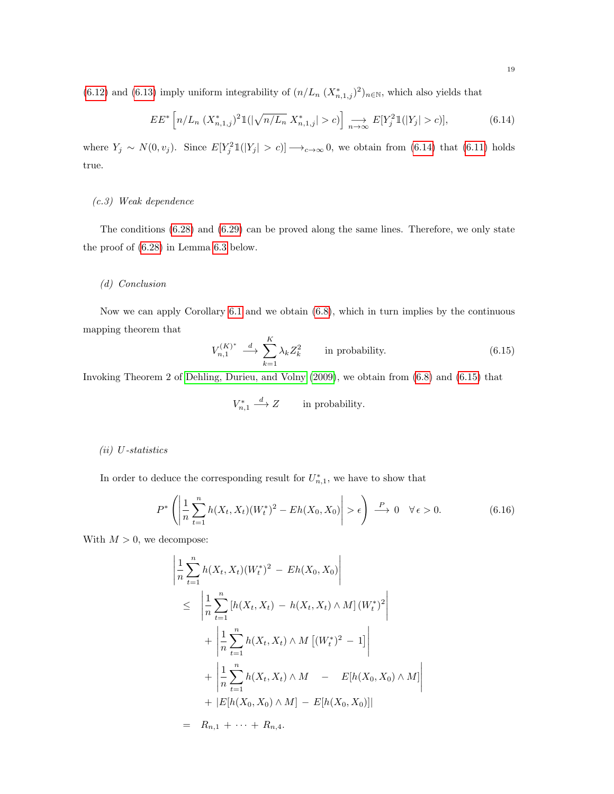[\(6.12\)](#page-18-1) and [\(6.13\)](#page-18-2) imply uniform integrability of  $(n/L_n (X_{n,1,j}^*)^2)_{n\in\mathbb{N}}$ , which also yields that

<span id="page-19-0"></span>
$$
EE^* \left[ n/L_n \ (X_{n,1,j}^*)^2 1(|\sqrt{n/L_n} \ X_{n,1,j}^*| > c) \right] \underset{n \to \infty}{\longrightarrow} E[Y_j^2 1(|Y_j| > c)], \tag{6.14}
$$

where  $Y_j \sim N(0, v_j)$ . Since  $E[Y_j^2 1(|Y_j| > c)] \longrightarrow_{c \to \infty} 0$ , we obtain from [\(6.14\)](#page-19-0) that [\(6.11\)](#page-18-3) holds true.

### (c.3) Weak dependence

The conditions [\(6.28\)](#page-25-2) and [\(6.29\)](#page-25-3) can be proved along the same lines. Therefore, we only state the proof of [\(6.28\)](#page-25-2) in Lemma [6.3](#page-29-0) below.

## (d) Conclusion

Now we can apply Corollary [6.1](#page-25-0) and we obtain [\(6.8\)](#page-17-0), which in turn implies by the continuous mapping theorem that

<span id="page-19-1"></span>
$$
V_{n,1}^{(K)^*} \xrightarrow{d} \sum_{k=1}^K \lambda_k Z_k^2 \qquad \text{in probability.} \tag{6.15}
$$

Invoking Theorem 2 of [Dehling, Durieu, and Volny](#page-32-14) [\(2009\)](#page-32-14), we obtain from [\(6.8\)](#page-17-0) and [\(6.15\)](#page-19-1) that

$$
V_{n,1}^* \stackrel{d}{\longrightarrow} Z \qquad \text{in probability.}
$$

### (ii) U-statistics

In order to deduce the corresponding result for  $U_{n,1}^*$ , we have to show that

<span id="page-19-2"></span>
$$
P^*\left(\left|\frac{1}{n}\sum_{t=1}^n h(X_t, X_t)(W_t^*)^2 - Eh(X_0, X_0)\right| > \epsilon\right) \stackrel{P}{\longrightarrow} 0 \quad \forall \epsilon > 0. \tag{6.16}
$$

With  $M > 0$ , we decompose:

$$
\left| \frac{1}{n} \sum_{t=1}^{n} h(X_t, X_t)(W_t^*)^2 - Eh(X_0, X_0) \right|
$$
\n
$$
\leq \left| \frac{1}{n} \sum_{t=1}^{n} \left[ h(X_t, X_t) - h(X_t, X_t) \wedge M \right] (W_t^*)^2 \right|
$$
\n
$$
+ \left| \frac{1}{n} \sum_{t=1}^{n} h(X_t, X_t) \wedge M \left[ (W_t^*)^2 - 1 \right] \right|
$$
\n
$$
+ \left| \frac{1}{n} \sum_{t=1}^{n} h(X_t, X_t) \wedge M - E[h(X_0, X_0) \wedge M] \right|
$$
\n
$$
+ |E[h(X_0, X_0) \wedge M] - E[h(X_0, X_0)]|
$$
\n
$$
= R_{n,1} + \dots + R_{n,4}.
$$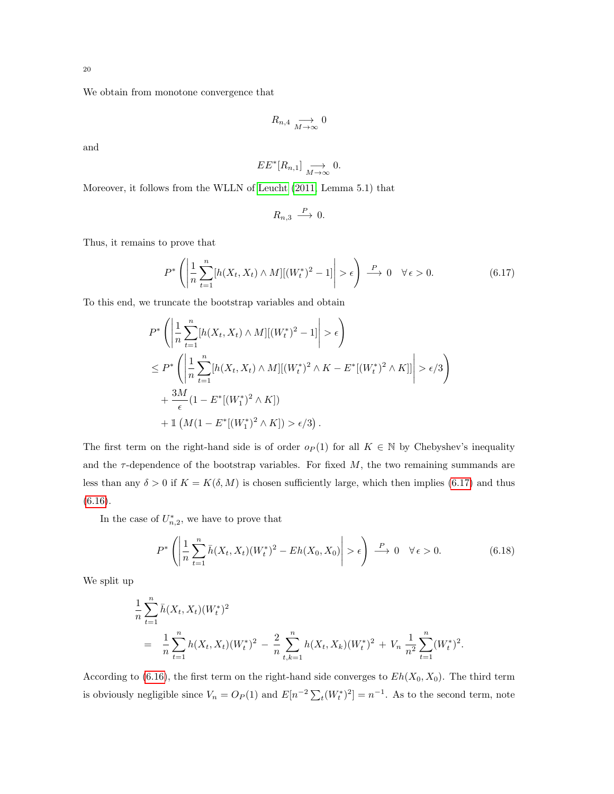We obtain from monotone convergence that

$$
R_{n,4} \underset{M \to \infty}{\longrightarrow} 0
$$

and

$$
EE^*[R_{n,1}] \underset{M \to \infty}{\longrightarrow} 0.
$$

Moreover, it follows from the WLLN of [Leucht](#page-33-4) [\(2011,](#page-33-4) Lemma 5.1) that

$$
R_{n,3} \stackrel{P}{\longrightarrow} 0.
$$

Thus, it remains to prove that

<span id="page-20-0"></span>
$$
P^*\left(\left|\frac{1}{n}\sum_{t=1}^n[h(X_t, X_t) \wedge M][(W_t^*)^2 - 1]\right| > \epsilon\right) \xrightarrow{P} 0 \quad \forall \epsilon > 0. \tag{6.17}
$$

To this end, we truncate the bootstrap variables and obtain

$$
P^* \left( \left| \frac{1}{n} \sum_{t=1}^n [h(X_t, X_t) \wedge M] [(W_t^*)^2 - 1] \right| > \epsilon \right)
$$
  
\n
$$
\leq P^* \left( \left| \frac{1}{n} \sum_{t=1}^n [h(X_t, X_t) \wedge M] [(W_t^*)^2 \wedge K - E^* [(W_t^*)^2 \wedge K] \right| > \epsilon/3 \right)
$$
  
\n
$$
+ \frac{3M}{\epsilon} (1 - E^* [(W_1^*)^2 \wedge K])
$$
  
\n
$$
+ 1 (M (1 - E^* [(W_1^*)^2 \wedge K]) > \epsilon/3).
$$

The first term on the right-hand side is of order  $o_P(1)$  for all  $K \in \mathbb{N}$  by Chebyshev's inequality and the  $\tau$ -dependence of the bootstrap variables. For fixed  $M$ , the two remaining summands are less than any  $\delta > 0$  if  $K = K(\delta, M)$  is chosen sufficiently large, which then implies [\(6.17\)](#page-20-0) and thus [\(6.16\)](#page-19-2).

In the case of  $U_{n,2}^*$ , we have to prove that

<span id="page-20-1"></span>
$$
P^*\left(\left|\frac{1}{n}\sum_{t=1}^n \bar{h}(X_t, X_t)(W_t^*)^2 - Eh(X_0, X_0)\right| > \epsilon\right) \stackrel{P}{\longrightarrow} 0 \quad \forall \epsilon > 0. \tag{6.18}
$$

We split up

$$
\frac{1}{n}\sum_{t=1}^{n} \bar{h}(X_t, X_t)(W_t^*)^2
$$
\n
$$
= \frac{1}{n}\sum_{t=1}^{n} h(X_t, X_t)(W_t^*)^2 - \frac{2}{n}\sum_{t,k=1}^{n} h(X_t, X_k)(W_t^*)^2 + V_n \frac{1}{n^2}\sum_{t=1}^{n} (W_t^*)^2.
$$

According to [\(6.16\)](#page-19-2), the first term on the right-hand side converges to  $Eh(X_0, X_0)$ . The third term is obviously negligible since  $V_n = O_P(1)$  and  $E[n^{-2} \sum_t (W_t^*)^2] = n^{-1}$ . As to the second term, note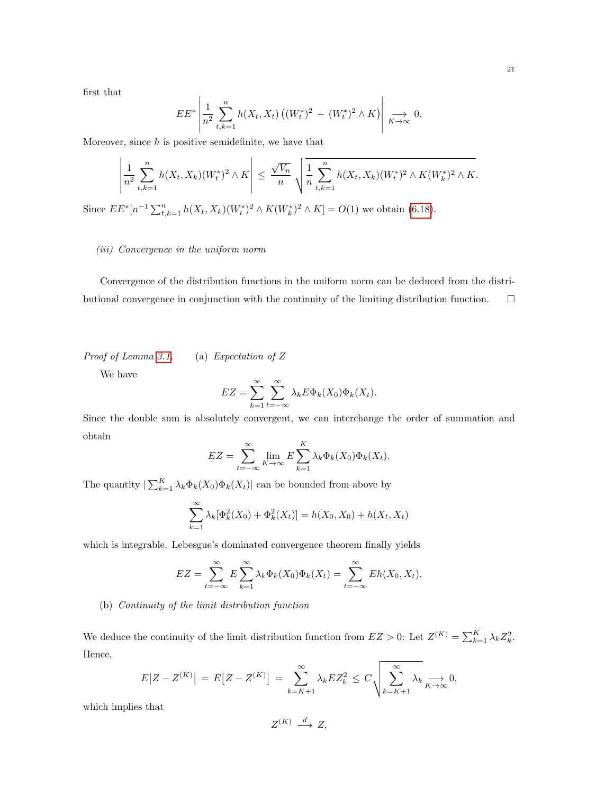first that

$$
EE^* \left| \frac{1}{n^2} \sum_{t,k=1}^n h(X_t, X_t) \left( (W_t^*)^2 - (W_t^*)^2 \wedge K \right) \right| \xrightarrow[K \to \infty]{} 0.
$$

Moreover, since  $h$  is positive semidefinite, we have that

$$
\left| \frac{1}{n^2} \sum_{t,k=1}^n h(X_t, X_k) (W_t^*)^2 \wedge K \right| \leq \frac{\sqrt{V_n}}{n} \sqrt{\frac{1}{n} \sum_{t,k=1}^n h(X_t, X_k) (W_t^*)^2 \wedge K(W_k^*)^2 \wedge K}.
$$

Since  $EE^*[n^{-1}\sum_{t,k=1}^n h(X_t,X_k)(W_t^*)^2 \wedge K(W_k^*)^2 \wedge K] = O(1)$  we obtain [\(6.18\)](#page-20-1).

## (iii) Convergence in the uniform norm

Convergence of the distribution functions in the uniform norm can be deduced from the distributional convergence in conjunction with the continuity of the limiting distribution function.  $\Box$ 

Proof of Lemma [3.1.](#page-7-2) (a) Expectation of Z

We have

$$
EZ = \sum_{k=1}^{\infty} \sum_{t=-\infty}^{\infty} \lambda_k E \Phi_k(X_0) \Phi_k(X_t).
$$

Since the double sum is absolutely convergent, we can interchange the order of summation and obtain

$$
EZ = \sum_{t=-\infty}^{\infty} \lim_{K \to \infty} E \sum_{k=1}^{K} \lambda_k \Phi_k(X_0) \Phi_k(X_t).
$$

The quantity  $\left| \sum_{k=1}^{K} \lambda_k \Phi_k(X_0) \Phi_k(X_t) \right|$  can be bounded from above by

$$
\sum_{k=1}^{\infty} \lambda_k [\Phi_k^2(X_0) + \Phi_k^2(X_t)] = h(X_0, X_0) + h(X_t, X_t)
$$

which is integrable. Lebesgue's dominated convergence theorem finally yields

$$
EZ = \sum_{t=-\infty}^{\infty} E \sum_{k=1}^{\infty} \lambda_k \Phi_k(X_0) \Phi_k(X_t) = \sum_{t=-\infty}^{\infty} Eh(X_0, X_t).
$$

## (b) Continuity of the limit distribution function

We deduce the continuity of the limit distribution function from  $EZ > 0$ : Let  $Z^{(K)} = \sum_{k=1}^{K} \lambda_k Z_k^2$ . Hence,

$$
E|Z - Z^{(K)}| = E[Z - Z^{(K)}] = \sum_{k=K+1}^{\infty} \lambda_k E Z_k^2 \le C \sqrt{\sum_{k=K+1}^{\infty} \lambda_k} \xrightarrow[K \to \infty]{} 0,
$$

which implies that

$$
Z^{(K)} \stackrel{d}{\longrightarrow} Z,
$$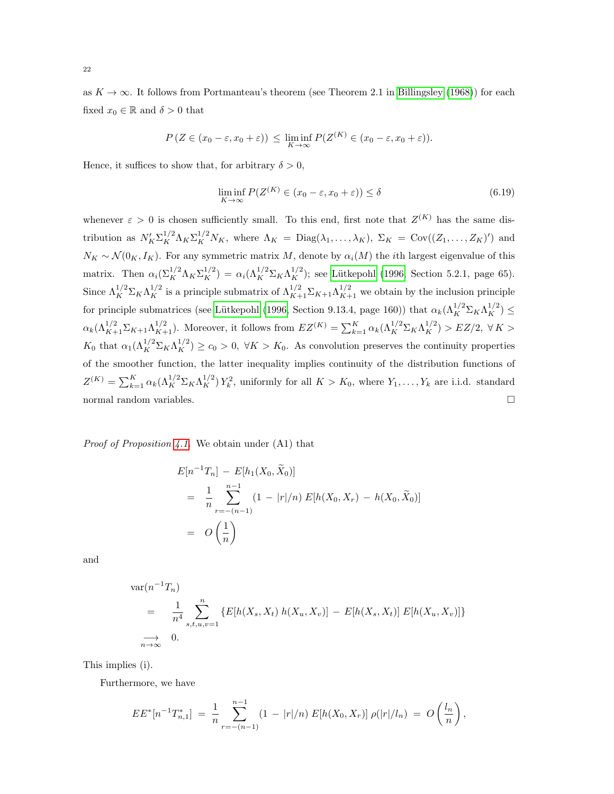as  $K \to \infty$ . It follows from Portmanteau's theorem (see Theorem 2.1 in [Billingsley](#page-32-15) [\(1968\)](#page-32-15)) for each fixed  $x_0 \in \mathbb{R}$  and  $\delta > 0$  that

$$
P(Z \in (x_0 - \varepsilon, x_0 + \varepsilon)) \le \liminf_{K \to \infty} P(Z^{(K)} \in (x_0 - \varepsilon, x_0 + \varepsilon)).
$$

Hence, it suffices to show that, for arbitrary  $\delta > 0$ ,

$$
\liminf_{K \to \infty} P(Z^{(K)} \in (x_0 - \varepsilon, x_0 + \varepsilon)) \le \delta \tag{6.19}
$$

whenever  $\varepsilon > 0$  is chosen sufficiently small. To this end, first note that  $Z^{(K)}$  has the same distribution as  $N'_K \Sigma_K^{1/2} \Lambda_K \Sigma_K^{1/2} N_K$ , where  $\Lambda_K = \text{Diag}(\lambda_1, \ldots, \lambda_K)$ ,  $\Sigma_K = \text{Cov}((Z_1, \ldots, Z_K)'')$  and  $N_K \sim \mathcal{N}(0_K, I_K)$ . For any symmetric matrix M, denote by  $\alpha_i(M)$  the *i*th largest eigenvalue of this matrix. Then  $\alpha_i(\Sigma_K^{1/2}\Lambda_K\Sigma_K^{1/2}) = \alpha_i(\Lambda_K^{1/2}\Sigma_K\Lambda_K^{1/2})$ ; see Lütkepohl [\(1996,](#page-33-17) Section 5.2.1, page 65). Since  $\Lambda_K^{1/2} \Sigma_K \Lambda_K^{1/2}$  is a principle submatrix of  $\Lambda_{K+1}^{1/2} \Sigma_{K+1} \Lambda_{K+1}^{1/2}$  we obtain by the inclusion principle for principle submatrices (see Lütkepohl [\(1996,](#page-33-17) Section 9.13.4, page 160)) that  $\alpha_k(\Lambda_K^{1/2} \Sigma_K \Lambda_K^{1/2}) \leq$  $\alpha_k(\Lambda_{K+1}^{1/2}\Sigma_{K+1}\Lambda_{K+1}^{1/2})$ . Moreover, it follows from  $EZ^{(K)} = \sum_{k=1}^K \alpha_k(\Lambda_K^{1/2}\Sigma_K\Lambda_K^{1/2}) > EZ/2$ ,  $\forall K >$  $K_0$  that  $\alpha_1(\Lambda_K^{1/2} \Sigma_K \Lambda_K^{1/2}) \ge c_0 > 0$ ,  $\forall K > K_0$ . As convolution preserves the continuity properties of the smoother function, the latter inequality implies continuity of the distribution functions of  $Z^{(K)} = \sum_{k=1}^{K} \alpha_k (\Lambda_K^{1/2} \Sigma_K \Lambda_K^{1/2}) Y_k^2$ , uniformly for all  $K > K_0$ , where  $Y_1, \ldots, Y_k$  are i.i.d. standard normal random variables.

*Proof of Proposition [4.1.](#page-0-0)* We obtain under  $(A1)$  that

$$
E[n^{-1}T_n] - E[h_1(X_0, \tilde{X}_0)]
$$
  
=  $\frac{1}{n} \sum_{r=-n-1}^{n-1} (1 - |r|/n) E[h(X_0, X_r) - h(X_0, \tilde{X}_0)]$   
=  $O\left(\frac{1}{n}\right)$ 

and

$$
\begin{aligned}\n\text{ar}(n^{-1}T_n) &= \frac{1}{n^4} \sum_{s,t,u,v=1}^n \{E[h(X_s, X_t) \ h(X_u, X_v)] - E[h(X_s, X_t)] \ E[h(X_u, X_v)]\} \\
&\to 0. \n\end{aligned}
$$

This implies (i).

 $\overline{\text{V}}$ 

Furthermore, we have

$$
EE^*[n^{-1}T_{n,1}^*] = \frac{1}{n} \sum_{r=-(n-1)}^{n-1} (1-|r|/n) E[h(X_0, X_r)] \rho(|r|/l_n) = O\left(\frac{l_n}{n}\right),
$$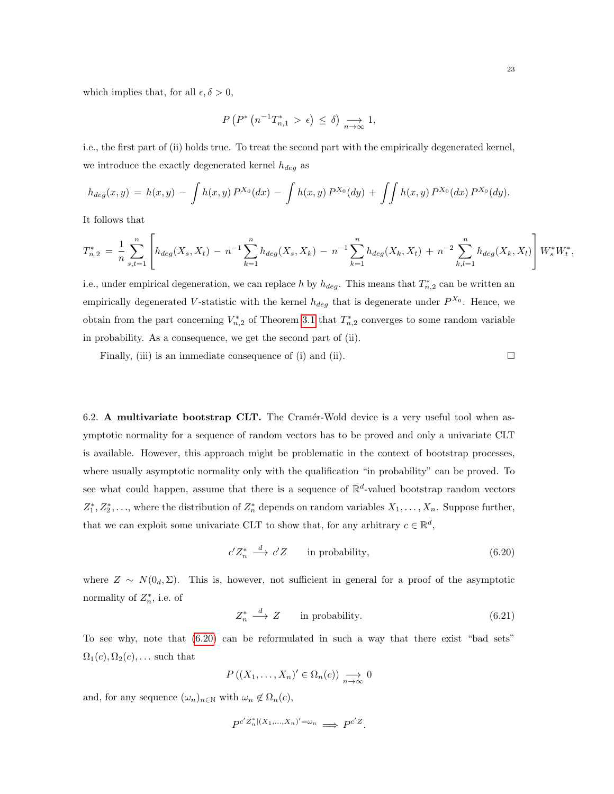which implies that, for all  $\epsilon, \delta > 0$ ,

$$
P\left(P^*\left(n^{-1}T_{n,1}^* > \epsilon\right) \leq \delta\right) \underset{n \to \infty}{\longrightarrow} 1,
$$

i.e., the first part of (ii) holds true. To treat the second part with the empirically degenerated kernel, we introduce the exactly degenerated kernel  $h_{deg}$  as

$$
h_{deg}(x,y) = h(x,y) - \int h(x,y) P^{X_0}(dx) - \int h(x,y) P^{X_0}(dy) + \int \int h(x,y) P^{X_0}(dx) P^{X_0}(dy).
$$

It follows that

$$
T_{n,2}^* = \frac{1}{n} \sum_{s,t=1}^n \left[ h_{deg}(X_s, X_t) - n^{-1} \sum_{k=1}^n h_{deg}(X_s, X_k) - n^{-1} \sum_{k=1}^n h_{deg}(X_k, X_t) + n^{-2} \sum_{k,l=1}^n h_{deg}(X_k, X_l) \right] W_s^* W_t^*,
$$

i.e., under empirical degeneration, we can replace h by  $h_{deg}$ . This means that  $T_{n,2}^*$  can be written an empirically degenerated V-statistic with the kernel  $h_{deg}$  that is degenerate under  $P^{X_0}$ . Hence, we obtain from the part concerning  $V_{n,2}^*$  of Theorem [3.1](#page-7-0) that  $T_{n,2}^*$  converges to some random variable in probability. As a consequence, we get the second part of (ii).

Finally, (iii) is an immediate consequence of (i) and (ii).  $\Box$ 

6.2. A multivariate bootstrap CLT. The Cramér-Wold device is a very useful tool when asymptotic normality for a sequence of random vectors has to be proved and only a univariate CLT is available. However, this approach might be problematic in the context of bootstrap processes, where usually asymptotic normality only with the qualification "in probability" can be proved. To see what could happen, assume that there is a sequence of  $\mathbb{R}^d$ -valued bootstrap random vectors  $Z_1^*, Z_2^*, \ldots$ , where the distribution of  $Z_n^*$  depends on random variables  $X_1, \ldots, X_n$ . Suppose further, that we can exploit some univariate CLT to show that, for any arbitrary  $c \in \mathbb{R}^d$ ,

<span id="page-23-0"></span>
$$
c'Z_n^* \stackrel{d}{\longrightarrow} c'Z \qquad \text{in probability}, \tag{6.20}
$$

where  $Z \sim N(0_d, \Sigma)$ . This is, however, not sufficient in general for a proof of the asymptotic normality of  $Z_n^*$ , i.e. of

<span id="page-23-1"></span>
$$
Z_n^* \xrightarrow{d} Z \qquad \text{in probability.} \tag{6.21}
$$

To see why, note that [\(6.20\)](#page-23-0) can be reformulated in such a way that there exist "bad sets"  $\Omega_1(c), \Omega_2(c), \ldots$  such that

$$
P((X_1,\ldots,X_n)' \in \Omega_n(c)) \underset{n\to\infty}{\longrightarrow} 0
$$

and, for any sequence  $(\omega_n)_{n\in\mathbb{N}}$  with  $\omega_n \notin \Omega_n(c)$ ,

$$
P^{c'Z_n^*|(X_1,\ldots,X_n)'=\omega_n} \implies P^{c'Z}.
$$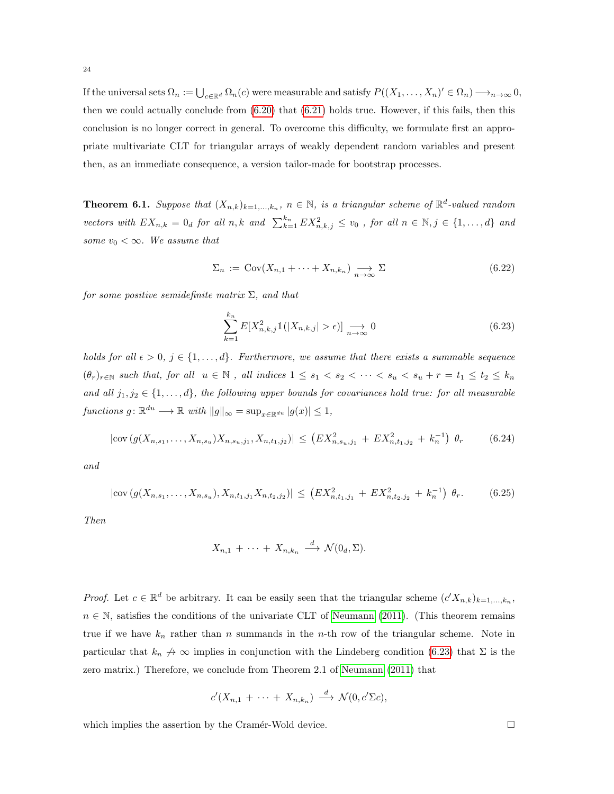If the universal sets  $\Omega_n := \bigcup_{c \in \mathbb{R}^d} \Omega_n(c)$  were measurable and satisfy  $P((X_1, \ldots, X_n)' \in \Omega_n) \longrightarrow_{n \to \infty} 0$ , then we could actually conclude from [\(6.20\)](#page-23-0) that [\(6.21\)](#page-23-1) holds true. However, if this fails, then this conclusion is no longer correct in general. To overcome this difficulty, we formulate first an appropriate multivariate CLT for triangular arrays of weakly dependent random variables and present then, as an immediate consequence, a version tailor-made for bootstrap processes.

<span id="page-24-0"></span>**Theorem 6.1.** Suppose that  $(X_{n,k})_{k=1,\ldots,k_n}$ ,  $n \in \mathbb{N}$ , is a triangular scheme of  $\mathbb{R}^d$ -valued random vectors with  $EX_{n,k} = 0_d$  for all  $n, k$  and  $\sum_{k=1}^{k_n} EX_{n,k,j}^2 \le v_0$ , for all  $n \in \mathbb{N}, j \in \{1, ..., d\}$  and some  $v_0 < \infty$ . We assume that

<span id="page-24-2"></span>
$$
\Sigma_n := \text{Cov}(X_{n,1} + \dots + X_{n,k_n}) \xrightarrow[n \to \infty]{} \Sigma
$$
\n(6.22)

for some positive semidefinite matrix  $\Sigma$ , and that

<span id="page-24-1"></span>
$$
\sum_{k=1}^{k_n} E[X_{n,k,j}^2 \mathbb{1}(|X_{n,k,j}| > \epsilon)] \underset{n \to \infty}{\longrightarrow} 0
$$
\n(6.23)

holds for all  $\epsilon > 0$ ,  $j \in \{1, \ldots, d\}$ . Furthermore, we assume that there exists a summable sequence  $(\theta_r)_{r \in \mathbb{N}}$  such that, for all  $u \in \mathbb{N}$ , all indices  $1 \leq s_1 < s_2 < \cdots < s_u < s_u + r = t_1 \leq t_2 \leq k_n$ and all  $j_1, j_2 \in \{1, ..., d\}$ , the following upper bounds for covariances hold true: for all measurable functions  $g: \mathbb{R}^{du} \longrightarrow \mathbb{R}$  with  $||g||_{\infty} = \sup_{x \in \mathbb{R}^{du}} |g(x)| \leq 1$ ,

<span id="page-24-3"></span>
$$
|\text{cov}\left(g(X_{n,s_1},\ldots,X_{n,s_u})X_{n,s_u,j_1},X_{n,t_1,j_2}\right)| \leq \left(EX_{n,s_u,j_1}^2 + EX_{n,t_1,j_2}^2 + k_n^{-1}\right)\,\theta_r \tag{6.24}
$$

and

<span id="page-24-4"></span>
$$
|\text{cov}\left(g(X_{n,s_1},\ldots,X_{n,s_u}),X_{n,t_1,j_1}X_{n,t_2,j_2}\right)| \leq \left(EX_{n,t_1,j_1}^2 + EX_{n,t_2,j_2}^2 + k_n^{-1}\right) \theta_r. \tag{6.25}
$$

Then

$$
X_{n,1} + \cdots + X_{n,k_n} \stackrel{d}{\longrightarrow} \mathcal{N}(0_d, \Sigma).
$$

*Proof.* Let  $c \in \mathbb{R}^d$  be arbitrary. It can be easily seen that the triangular scheme  $(c'X_{n,k})_{k=1,\dots,k_n}$ ,  $n \in \mathbb{N}$ , satisfies the conditions of the univariate CLT of [Neumann](#page-33-6) [\(2011\)](#page-33-6). (This theorem remains true if we have  $k_n$  rather than n summands in the n-th row of the triangular scheme. Note in particular that  $k_n \nrightarrow \infty$  implies in conjunction with the Lindeberg condition [\(6.23\)](#page-24-1) that  $\Sigma$  is the zero matrix.) Therefore, we conclude from Theorem 2.1 of [Neumann](#page-33-6) [\(2011\)](#page-33-6) that

$$
c'(X_{n,1} + \cdots + X_{n,k_n}) \stackrel{d}{\longrightarrow} \mathcal{N}(0, c'\Sigma c),
$$

which implies the assertion by the Cramér-Wold device.  $\Box$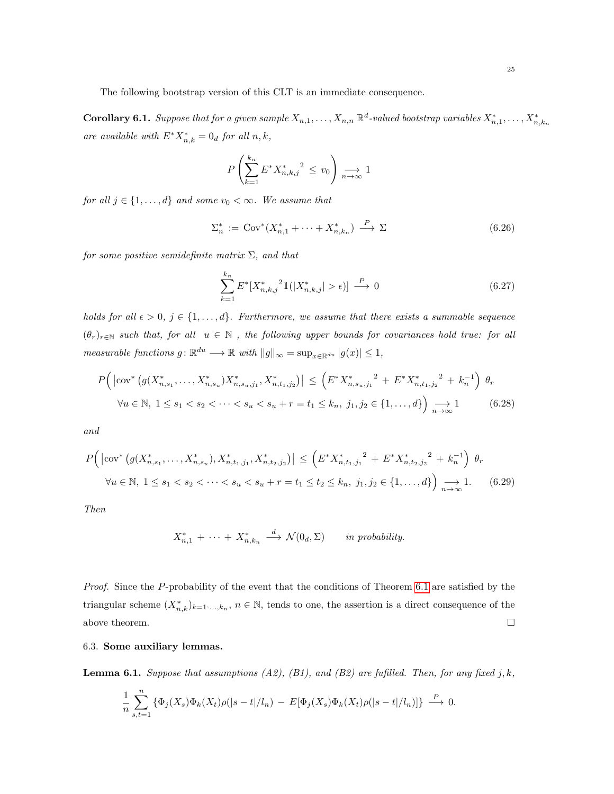The following bootstrap version of this CLT is an immediate consequence.

<span id="page-25-0"></span>**Corollary 6.1.** Suppose that for a given sample  $X_{n,1},\ldots,X_{n,n} \mathbb{R}^d$ -valued bootstrap variables  $X_{n,1}^*,\ldots,X_{n,k_n}^*$ are available with  $E^* X_{n,k}^* = 0_d$  for all  $n, k$ ,

$$
P\left(\sum_{k=1}^{k_n} E^* X_{n,k,j}^* \right)^2 \le v_0 \right) \underset{n \to \infty}{\longrightarrow} 1
$$

for all  $j \in \{1, ..., d\}$  and some  $v_0 < \infty$ . We assume that

$$
\Sigma_n^* := \text{Cov}^*(X_{n,1}^* + \dots + X_{n,k_n}^*) \xrightarrow{P} \Sigma
$$
\n
$$
(6.26)
$$

for some positive semidefinite matrix  $\Sigma$ , and that

$$
\sum_{k=1}^{k_n} E^*[X_{n,k,j}^*^2 1(|X_{n,k,j}^*| > \epsilon)] \stackrel{P}{\longrightarrow} 0
$$
\n(6.27)

holds for all  $\epsilon > 0$ ,  $j \in \{1, ..., d\}$ . Furthermore, we assume that there exists a summable sequence  $(\theta_r)_{r \in \mathbb{N}}$  such that, for all  $u \in \mathbb{N}$ , the following upper bounds for covariances hold true: for all measurable functions  $g: \mathbb{R}^{du} \longrightarrow \mathbb{R}$  with  $||g||_{\infty} = \sup_{x \in \mathbb{R}^{du}} |g(x)| \leq 1$ ,

<span id="page-25-2"></span>
$$
P(|\text{cov}^*(g(X_{n,s_1}^*,\ldots,X_{n,s_u}^*)X_{n,s_u,j_1}^*,X_{n,t_1,j_2}^*)| \le (E^*X_{n,s_u,j_1}^*^2 + E^*X_{n,t_1,j_2}^*^2 + k_n^{-1}) \theta_r
$$
  

$$
\forall u \in \mathbb{N}, 1 \le s_1 < s_2 < \cdots < s_u < s_u + r = t_1 \le k_n, j_1, j_2 \in \{1, \ldots, d\} \underset{n \to \infty}{\longrightarrow} 1
$$
 (6.28)

and

<span id="page-25-3"></span>
$$
P(|\text{cov}^*(g(X_{n,s_1}^*,\ldots,X_{n,s_u}^*),X_{n,t_1,j_1}^*,X_{n,t_2,j_2}^*)| \leq \left(E^*X_{n,t_1,j_1}^* + E^*X_{n,t_2,j_2}^* + k_n^{-1}\right)\theta_r
$$
  

$$
\forall u \in \mathbb{N}, 1 \leq s_1 < s_2 < \cdots < s_u < s_u + r = t_1 \leq t_2 \leq k_n, j_1, j_2 \in \{1,\ldots,d\}\theta_{n\to\infty}.
$$
 (6.29)

Then

$$
X_{n,1}^* + \cdots + X_{n,k_n}^* \xrightarrow{d} \mathcal{N}(0_d, \Sigma) \quad in \text{ probability.}
$$

Proof. Since the P-probability of the event that the conditions of Theorem [6.1](#page-24-0) are satisfied by the triangular scheme  $(X_{n,k}^*)_{k=1,\dots,k_n}$ ,  $n \in \mathbb{N}$ , tends to one, the assertion is a direct consequence of the above theorem.  $\hfill \square$ 

6.3. Some auxiliary lemmas.

<span id="page-25-1"></span>**Lemma 6.1.** Suppose that assumptions  $(A2)$ ,  $(B1)$ , and  $(B2)$  are fufilled. Then, for any fixed j, k,

$$
\frac{1}{n}\sum_{s,t=1}^n \left\{\Phi_j(X_s)\Phi_k(X_t)\rho(|s-t|/l_n) - E[\Phi_j(X_s)\Phi_k(X_t)\rho(|s-t|/l_n)]\right\} \stackrel{P}{\longrightarrow} 0.
$$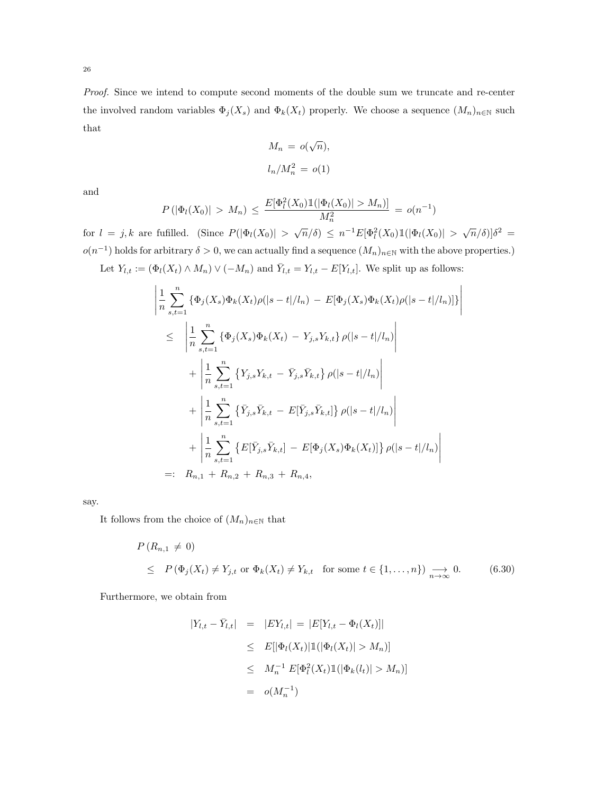Proof. Since we intend to compute second moments of the double sum we truncate and re-center the involved random variables  $\Phi_j(X_s)$  and  $\Phi_k(X_t)$  properly. We choose a sequence  $(M_n)_{n\in\mathbb{N}}$  such that

$$
M_n = o(\sqrt{n}),
$$
  

$$
l_n/M_n^2 = o(1)
$$

and

$$
P(|\Phi_l(X_0)| > M_n) \le \frac{E[\Phi_l^2(X_0) \mathbb{1}(|\Phi_l(X_0)| > M_n)]}{M_n^2} = o(n^{-1})
$$

for  $l = j, k$  are fufilled. (Since  $P(|\Phi_l(X_0)| > \sqrt{n}/\delta) \leq n^{-1}E[\Phi_l^2(X_0)1(|\Phi_l(X_0)| > \sqrt{n}/\delta)]\delta^2 =$  $o(n^{-1})$  holds for arbitrary  $\delta > 0$ , we can actually find a sequence  $(M_n)_{n \in \mathbb{N}}$  with the above properties.) Let  $Y_{l,t} := (\Phi_l(X_t) \wedge M_n) \vee (-M_n)$  and  $\overline{Y}_{l,t} = Y_{l,t} - E[Y_{l,t}]$ . We split up as follows:

$$
\left| \frac{1}{n} \sum_{s,t=1}^{n} \left\{ \Phi_j(X_s) \Phi_k(X_t) \rho(|s-t|/l_n) - E[\Phi_j(X_s) \Phi_k(X_t) \rho(|s-t|/l_n)] \right\} \right|
$$
\n
$$
\leq \left| \frac{1}{n} \sum_{s,t=1}^{n} \left\{ \Phi_j(X_s) \Phi_k(X_t) - Y_{j,s} Y_{k,t} \right\} \rho(|s-t|/l_n) \right|
$$
\n
$$
+ \left| \frac{1}{n} \sum_{s,t=1}^{n} \left\{ Y_{j,s} Y_{k,t} - \bar{Y}_{j,s} \bar{Y}_{k,t} \right\} \rho(|s-t|/l_n) \right|
$$
\n
$$
+ \left| \frac{1}{n} \sum_{s,t=1}^{n} \left\{ \bar{Y}_{j,s} \bar{Y}_{k,t} - E[\bar{Y}_{j,s} \bar{Y}_{k,t}] \right\} \rho(|s-t|/l_n) \right|
$$
\n
$$
+ \left| \frac{1}{n} \sum_{s,t=1}^{n} \left\{ E[\bar{Y}_{j,s} \bar{Y}_{k,t}] - E[\Phi_j(X_s) \Phi_k(X_t)] \right\} \rho(|s-t|/l_n) \right|
$$
\n
$$
=: R_{n,1} + R_{n,2} + R_{n,3} + R_{n,4},
$$

say.

It follows from the choice of  $(M_n)_{n\in\mathbb{N}}$  that

<span id="page-26-0"></span>
$$
P(R_{n,1} \neq 0)
$$
  
\n
$$
\leq P(\Phi_j(X_t) \neq Y_{j,t} \text{ or } \Phi_k(X_t) \neq Y_{k,t} \text{ for some } t \in \{1,\dots,n\}) \xrightarrow[n \to \infty]{} 0.
$$
 (6.30)

Furthermore, we obtain from

$$
|Y_{l,t} - \bar{Y}_{l,t}| = |EY_{l,t}| = |E[Y_{l,t} - \Phi_l(X_t)]|
$$
  
\n
$$
\leq E[|\Phi_l(X_t)| \mathbb{1}(|\Phi_l(X_t)| > M_n)]
$$
  
\n
$$
\leq M_n^{-1} E[\Phi_l^2(X_t) \mathbb{1}(|\Phi_k(l_t)| > M_n)]
$$
  
\n
$$
= o(M_n^{-1})
$$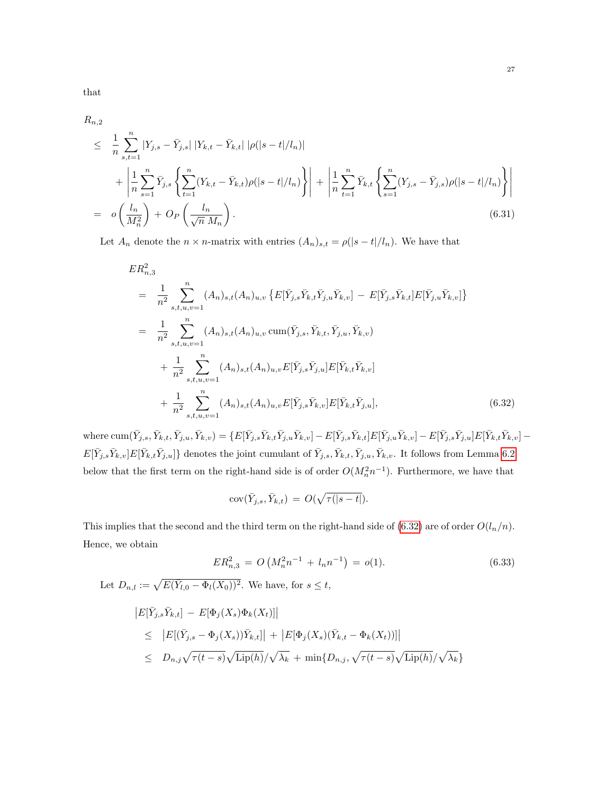that

<span id="page-27-2"></span>
$$
R_{n,2}
$$

$$
\leq \frac{1}{n} \sum_{s,t=1}^{n} |Y_{j,s} - \bar{Y}_{j,s}| |Y_{k,t} - \bar{Y}_{k,t}| |\rho(|s-t|/l_n)|
$$
  
+ 
$$
\left| \frac{1}{n} \sum_{s=1}^{n} \bar{Y}_{j,s} \left\{ \sum_{t=1}^{n} (Y_{k,t} - \bar{Y}_{k,t}) \rho(|s-t|/l_n) \right\} \right| + \left| \frac{1}{n} \sum_{t=1}^{n} \bar{Y}_{k,t} \left\{ \sum_{s=1}^{n} (Y_{j,s} - \bar{Y}_{j,s}) \rho(|s-t|/l_n) \right\} \right|
$$
  
= 
$$
o\left(\frac{l_n}{M_n^2}\right) + O_P\left(\frac{l_n}{\sqrt{n} M_n}\right).
$$
(6.31)

Let  $A_n$  denote the  $n \times n$ -matrix with entries  $(A_n)_{s,t} = \rho(|s-t|/l_n)$ . We have that

<span id="page-27-0"></span>
$$
ER_{n,3}^{2}
$$
\n
$$
= \frac{1}{n^{2}} \sum_{s,t,u,v=1}^{n} (A_{n})_{s,t} (A_{n})_{u,v} \{ E[\bar{Y}_{j,s} \bar{Y}_{k,t} \bar{Y}_{j,u} \bar{Y}_{k,v}] - E[\bar{Y}_{j,s} \bar{Y}_{k,t}] E[\bar{Y}_{j,u} \bar{Y}_{k,v}] \}
$$
\n
$$
= \frac{1}{n^{2}} \sum_{s,t,u,v=1}^{n} (A_{n})_{s,t} (A_{n})_{u,v} \operatorname{cum}(\bar{Y}_{j,s}, \bar{Y}_{k,t}, \bar{Y}_{j,u}, \bar{Y}_{k,v})
$$
\n
$$
+ \frac{1}{n^{2}} \sum_{s,t,u,v=1}^{n} (A_{n})_{s,t} (A_{n})_{u,v} E[\bar{Y}_{j,s} \bar{Y}_{j,u}] E[\bar{Y}_{k,t} \bar{Y}_{k,v}]
$$
\n
$$
+ \frac{1}{n^{2}} \sum_{s,t,u,v=1}^{n} (A_{n})_{s,t} (A_{n})_{u,v} E[\bar{Y}_{j,s} \bar{Y}_{k,v}] E[\bar{Y}_{k,t} \bar{Y}_{j,u}], \qquad (6.32)
$$

where  $\text{cum}(\bar{Y}_{j,s}, \bar{Y}_{k,t}, \bar{Y}_{j,u}, \bar{Y}_{k,v}) = \{E[\bar{Y}_{j,s}\bar{Y}_{k,t}\bar{Y}_{j,u}\bar{Y}_{k,v}] - E[\bar{Y}_{j,s}\bar{Y}_{k,t}]E[\bar{Y}_{j,u}\bar{Y}_{k,v}] - E[\bar{Y}_{j,s}\bar{Y}_{j,u}]E[\bar{Y}_{k,t}\bar{Y}_{k,v}] - E[\bar{Y}_{j,s}\bar{Y}_{j,u}]E[\bar{Y}_{k,t}\bar{Y}_{k,v}] - E[\bar{Y}_{j,s}\bar{Y}_{j,u}]E[\bar{Y}_{k,t}\bar{Y}_{k,v}] - E[\bar{Y}_{j,s}\bar{$  $E[\bar{Y}_{j,s}\bar{Y}_{k,v}]E[\bar{Y}_{k,t}\bar{Y}_{j,u}]$ } denotes the joint cumulant of  $\bar{Y}_{j,s}, \bar{Y}_{k,t}, \bar{Y}_{j,u}, \bar{Y}_{k,v}$ . It follows from Lemma [6.2](#page-28-0) below that the first term on the right-hand side is of order  $O(M_n^2 n^{-1})$ . Furthermore, we have that

$$
cov(\bar{Y}_{j,s}, \bar{Y}_{k,t}) = O(\sqrt{\tau(|s-t|}).
$$

This implies that the second and the third term on the right-hand side of [\(6.32\)](#page-27-0) are of order  $O(l_n/n)$ . Hence, we obtain

<span id="page-27-1"></span>
$$
ER_{n,3}^2 = O\left(M_n^2 n^{-1} + l_n n^{-1}\right) = o(1). \tag{6.33}
$$

Let  $D_{n,l} := \sqrt{E(\bar{Y}_{l,0} - \Phi_l(X_0))^2}$ . We have, for  $s \leq t$ ,

$$
|E[\bar{Y}_{j,s}\bar{Y}_{k,t}] - E[\Phi_j(X_s)\Phi_k(X_t)]|
$$
  
\n
$$
\leq |E[(\bar{Y}_{j,s} - \Phi_j(X_s))\bar{Y}_{k,t}]| + |E[\Phi_j(X_s)(\bar{Y}_{k,t} - \Phi_k(X_t))]|
$$
  
\n
$$
\leq D_{n,j}\sqrt{\tau(t-s)}\sqrt{\text{Lip}(h)}/\sqrt{\lambda_k} + \min\{D_{n,j},\sqrt{\tau(t-s)}\sqrt{\text{Lip}(h)}/\sqrt{\lambda_k}\}
$$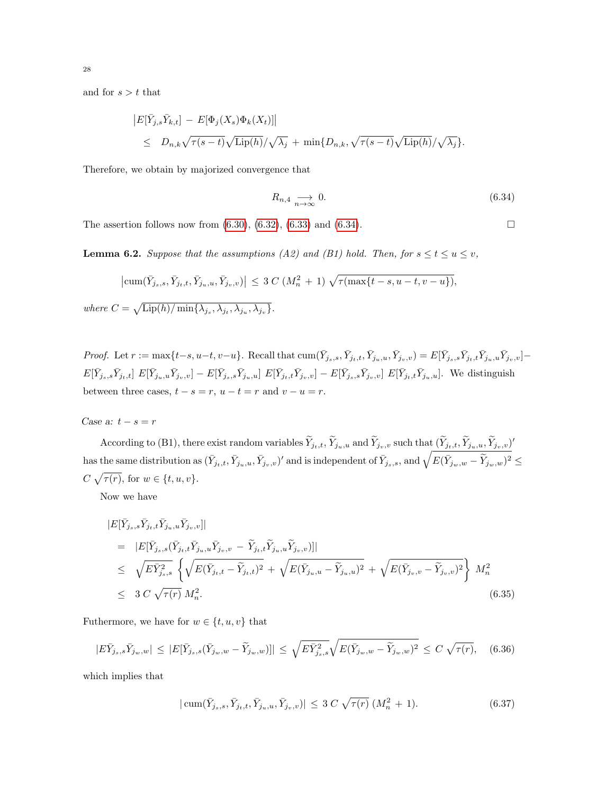and for  $s > t$  that

$$
|E[\bar{Y}_{j,s}\bar{Y}_{k,t}] - E[\Phi_j(X_s)\Phi_k(X_t)]|
$$
  
\n
$$
\leq D_{n,k}\sqrt{\tau(s-t)}\sqrt{\text{Lip}(h)}/\sqrt{\lambda_j} + \min\{D_{n,k}, \sqrt{\tau(s-t)}\sqrt{\text{Lip}(h)}/\sqrt{\lambda_j}\}.
$$

Therefore, we obtain by majorized convergence that

<span id="page-28-1"></span>
$$
R_{n,4} \underset{n \to \infty}{\longrightarrow} 0. \tag{6.34}
$$

The assertion follows now from  $(6.30), (6.32), (6.33)$  $(6.30), (6.32), (6.33)$  $(6.30), (6.32), (6.33)$  $(6.30), (6.32), (6.33)$  $(6.30), (6.32), (6.33)$  and  $(6.34)$ .

<span id="page-28-0"></span>**Lemma 6.2.** Suppose that the assumptions (A2) and (B1) hold. Then, for  $s \le t \le u \le v$ ,

$$
\left|\text{cum}(\bar{Y}_{j_s,s}, \bar{Y}_{j_t,t}, \bar{Y}_{j_u,u}, \bar{Y}_{j_v,v})\right| \leq 3 \ C \ (M_n^2 + 1) \ \sqrt{\tau(\max\{t-s, u-t, v-u\})},
$$

where  $C = \sqrt{\text{Lip}(h)/\min\{\lambda_{j_s}, \lambda_{j_t}, \lambda_{j_u}, \lambda_{j_v}\}}$ .

Proof. Let  $r := \max\{t-s, u-t, v-u\}$ . Recall that  $\text{cum}(\bar{Y}_{j_s,s}, \bar{Y}_{j_t,t}, \bar{Y}_{j_u,u}, \bar{Y}_{j_v,v}) = E[\bar{Y}_{j_s,s}\bar{Y}_{j_t,t}\bar{Y}_{j_u,u}\bar{Y}_{j_v,v}] E[\bar{Y}_{j_s,s}\bar{Y}_{j_t,t}] E[\bar{Y}_{j_u,u}\bar{Y}_{j_v,v}] - E[\bar{Y}_{j_s,s}\bar{Y}_{j_u,u}] E[\bar{Y}_{j_t,t}\bar{Y}_{j_v,v}] - E[\bar{Y}_{j_s,s}\bar{Y}_{j_v,v}] E[\bar{Y}_{j_t,t}\bar{Y}_{j_u,u}]$ . We distinguish between three cases,  $t - s = r$ ,  $u - t = r$  and  $v - u = r$ .

Case a:  $t$  –  $s$  =  $r$ 

According to (B1), there exist random variables  $\widetilde{Y}_{j_t,t}, \widetilde{Y}_{j_u,u}$  and  $\widetilde{Y}_{j_v,v}$  such that  $(\widetilde{Y}_{j_t,t}, \widetilde{Y}_{j_u,u}, \widetilde{Y}_{j_v,v})'$  $\text{ has the same distribution as } (\bar{Y}_{j_t,t}, \bar{Y}_{j_u,u}, \bar{Y}_{j_v,v})' \text{ and is independent of } \bar{Y}_{j_s,s}, \text{ and } \sqrt{E(\bar{Y}_{j_w,w} - \widetilde{Y}_{j_w,w})^2} \leq 1$  $C \sqrt{\tau(r)}$ , for  $w \in \{t, u, v\}$ .

Now we have

$$
|E[\bar{Y}_{j_s,s}\bar{Y}_{j_t,t}\bar{Y}_{j_u,u}\bar{Y}_{j_v,v}]|
$$
\n
$$
= |E[\bar{Y}_{j_s,s}(\bar{Y}_{j_t,t}\bar{Y}_{j_u,u}\bar{Y}_{j_v,v} - \tilde{Y}_{j_t,t}\tilde{Y}_{j_u,u}\tilde{Y}_{j_v,v})]|
$$
\n
$$
\leq \sqrt{E\bar{Y}_{j_s,s}^2} \left\{ \sqrt{E(\bar{Y}_{j_t,t} - \tilde{Y}_{j_t,t})^2} + \sqrt{E(\bar{Y}_{j_u,u} - \tilde{Y}_{j_u,u})^2} + \sqrt{E(\bar{Y}_{j_v,v} - \tilde{Y}_{j_v,v})^2} \right\} M_n^2
$$
\n
$$
\leq 3 C \sqrt{\tau(r)} M_n^2.
$$
\n(6.35)

Futhermore, we have for  $w \in \{t, u, v\}$  that

<span id="page-28-2"></span>
$$
|E\bar{Y}_{j_s,s}\bar{Y}_{j_w,w}| \leq |E[\bar{Y}_{j_s,s}(\bar{Y}_{j_w,w}-\widetilde{Y}_{j_w,w})]| \leq \sqrt{E\bar{Y}_{j_s,s}^2}\sqrt{E(\bar{Y}_{j_w,w}-\widetilde{Y}_{j_w,w})^2} \leq C\sqrt{\tau(r)}, \quad (6.36)
$$

which implies that

<span id="page-28-3"></span>
$$
|\operatorname{cum}(\bar{Y}_{j_s,s}, \bar{Y}_{j_t,t}, \bar{Y}_{j_u,u}, \bar{Y}_{j_v,v})| \leq 3 C \sqrt{\tau(r)} (M_n^2 + 1).
$$
 (6.37)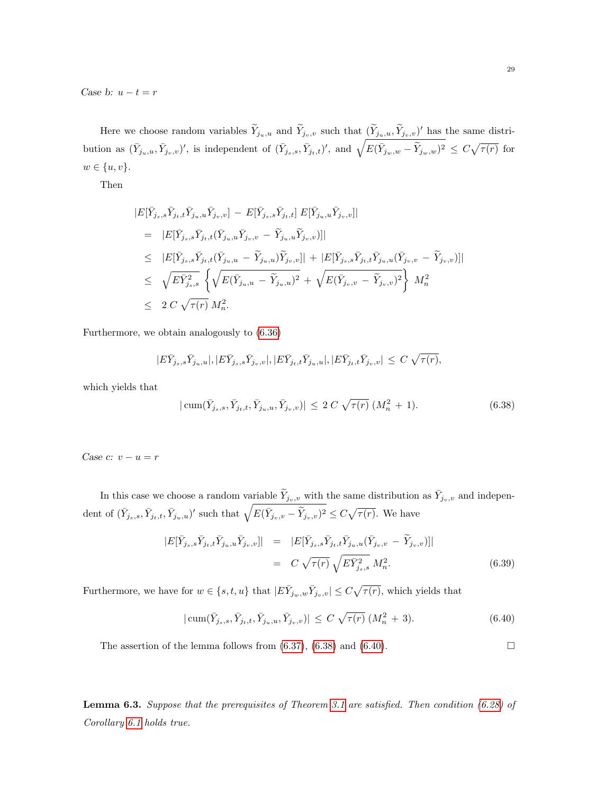Case b:  $u - t = r$ 

Here we choose random variables  $\widetilde{Y}_{j_u,u}$  and  $\widetilde{Y}_{j_v,v}$  such that  $(\widetilde{Y}_{j_u,u}, \widetilde{Y}_{j_v,v})'$  has the same distribution as  $(\bar{Y}_{j_u,u}, \bar{Y}_{j_v,v})'$ , is independent of  $(\bar{Y}_{j_s,s}, \bar{Y}_{j_t,t})'$ , and  $\sqrt{E(\bar{Y}_{j_w,w} - \tilde{Y}_{j_w,w})^2} \leq C\sqrt{\tau(r)}$  for  $w \in \{u, v\}.$ 

Then

$$
|E[\bar{Y}_{j_s,s}\bar{Y}_{j_t,t}\bar{Y}_{j_u,u}\bar{Y}_{j_v,v}] - E[\bar{Y}_{j_s,s}\bar{Y}_{j_t,t}] E[\bar{Y}_{j_u,u}\bar{Y}_{j_v,v}]|
$$
  
\n
$$
= |E[\bar{Y}_{j_s,s}\bar{Y}_{j_t,t}(\bar{Y}_{j_u,u}\bar{Y}_{j_v,v} - \tilde{Y}_{j_u,u}\tilde{Y}_{j_v,v})]|
$$
  
\n
$$
\leq |E[\bar{Y}_{j_s,s}\bar{Y}_{j_t,t}(\bar{Y}_{j_u,u} - \tilde{Y}_{j_u,u})\tilde{Y}_{j_v,v}]| + |E[\bar{Y}_{j_s,s}\bar{Y}_{j_t,t}\bar{Y}_{j_u,u}(\bar{Y}_{j_v,v} - \tilde{Y}_{j_v,v})]|
$$
  
\n
$$
\leq \sqrt{E\bar{Y}_{j_s,s}^2} \left\{ \sqrt{E(\bar{Y}_{j_u,u} - \tilde{Y}_{j_u,u})^2} + \sqrt{E(\bar{Y}_{j_v,v} - \tilde{Y}_{j_v,v})^2} \right\} M_n^2
$$
  
\n
$$
\leq 2 C \sqrt{\tau(r)} M_n^2.
$$

Furthermore, we obtain analogously to [\(6.36\)](#page-28-2)

$$
|E\bar{Y}_{j_s,s}\bar{Y}_{j_u,u}|,|E\bar{Y}_{j_s,s}\bar{Y}_{j_v,v}|,|E\bar{Y}_{j_t,t}\bar{Y}_{j_u,u}|,|E\bar{Y}_{j_t,t}\bar{Y}_{j_v,v}| \leq C\sqrt{\tau(r)},
$$

which yields that

<span id="page-29-1"></span>
$$
|\operatorname{cum}(\bar{Y}_{j_s,s}, \bar{Y}_{j_t,t}, \bar{Y}_{j_u,u}, \bar{Y}_{j_v,v})| \le 2 C \sqrt{\tau(r)} \left( M_n^2 + 1 \right). \tag{6.38}
$$

Case  $c: v - u = r$ 

In this case we choose a random variable  $\widetilde{Y}_{j_v,v}$  with the same distribution as  $\bar{Y}_{j_v,v}$  and independent of  $(\bar{Y}_{j_s,s}, \bar{Y}_{j_t,t}, \bar{Y}_{j_u,u})'$  such that  $\sqrt{E(\bar{Y}_{j_v,v} - \tilde{Y}_{j_v,v})^2} \leq C\sqrt{\tau(r)}$ . We have

$$
|E[\bar{Y}_{j_s,s}\bar{Y}_{j_t,t}\bar{Y}_{j_u,u}\bar{Y}_{j_v,v}]| = |E[\bar{Y}_{j_s,s}\bar{Y}_{j_t,t}\bar{Y}_{j_u,u}(\bar{Y}_{j_v,v} - \tilde{Y}_{j_v,v})]|
$$
  

$$
= C \sqrt{\tau(r)} \sqrt{E\bar{Y}_{j_s,s}^2} M_n^2.
$$
 (6.39)

Furthermore, we have for  $w \in \{s, t, u\}$  that  $|E\overline{Y}_{j_w,w}\overline{Y}_{j_v,v}| \leq C\sqrt{\tau(r)}$ , which yields that

<span id="page-29-2"></span>
$$
|\operatorname{cum}(\bar{Y}_{j_s,s}, \bar{Y}_{j_t,t}, \bar{Y}_{j_u,u}, \bar{Y}_{j_v,v})| \le C \sqrt{\tau(r)} \left(M_n^2 + 3\right). \tag{6.40}
$$

The assertion of the lemma follows from  $(6.37)$ ,  $(6.38)$  and  $(6.40)$ .

<span id="page-29-0"></span>Lemma 6.3. Suppose that the prerequisites of Theorem [3.1](#page-7-0) are satisfied. Then condition [\(6.28\)](#page-25-2) of Corollary [6.1](#page-25-0) holds true.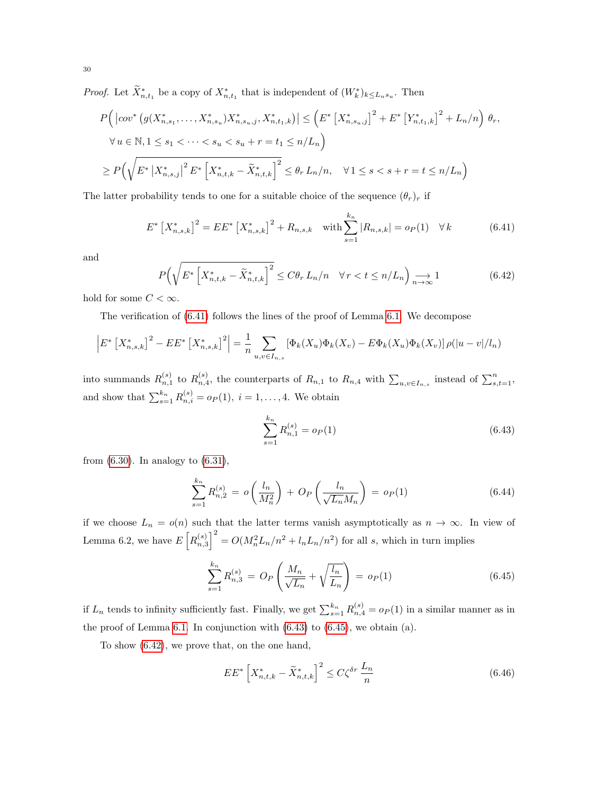*Proof.* Let  $\widetilde{X}_{n,t_1}^*$  be a copy of  $X_{n,t_1}^*$  that is independent of  $(W_k^*)_{k \leq L_n s_u}$ . Then

$$
P(|cov^* (g(X_{n,s_1}^*,...,X_{n,s_u}^*)X_{n,s_u,j}^*,X_{n,t_1,k}^*)| \le (E^* [X_{n,s_u,j}^*]^2 + E^* [Y_{n,t_1,k}^*]^2 + L_n/n) \theta_r,
$$
  
\n
$$
\forall u \in \mathbb{N}, 1 \le s_1 < \dots < s_u < s_u + r = t_1 \le n/L_n
$$
  
\n
$$
\ge P(\sqrt{E^* |X_{n,s,j}^*|^2 E^* [X_{n,t,k}^* - \tilde{X}_{n,t,k}^*]^2} \le \theta_r L_n/n, \quad \forall 1 \le s < s + r = t \le n/L_n
$$

The latter probability tends to one for a suitable choice of the sequence  $(\theta_r)_r$  if

<span id="page-30-0"></span>
$$
E^* \left[ X_{n,s,k}^* \right]^2 = EE^* \left[ X_{n,s,k}^* \right]^2 + R_{n,s,k} \quad \text{with} \sum_{s=1}^{k_n} |R_{n,s,k}| = o_P(1) \quad \forall \, k \tag{6.41}
$$

and

<span id="page-30-3"></span>
$$
P\left(\sqrt{E^* \left[X_{n,t,k}^* - \tilde{X}_{n,t,k}^*\right]^2} \le C\theta_r L_n/n \quad \forall r < t \le n/L_n\right) \underset{n \to \infty}{\longrightarrow} 1\tag{6.42}
$$

hold for some  $C < \infty$ .

The verification of [\(6.41\)](#page-30-0) follows the lines of the proof of Lemma [6.1.](#page-25-1) We decompose

$$
\left| E^* \left[ X^*_{n,s,k} \right]^2 - EE^* \left[ X^*_{n,s,k} \right]^2 \right| = \frac{1}{n} \sum_{u,v \in I_{n,s}} \left[ \Phi_k(X_u) \Phi_k(X_v) - E \Phi_k(X_u) \Phi_k(X_v) \right] \rho(|u-v|/l_n)
$$

into summands  $R_{n,1}^{(s)}$  to  $R_{n,4}^{(s)}$ , the counterparts of  $R_{n,1}$  to  $R_{n,4}$  with  $\sum_{u,v\in I_{n,s}}$  instead of  $\sum_{s,t=1}^{n}$ , and show that  $\sum_{s=1}^{k_n} R_{n,i}^{(s)} = o_P(1), i = 1, ..., 4$ . We obtain

<span id="page-30-1"></span>
$$
\sum_{s=1}^{k_n} R_{n,1}^{(s)} = o_P(1) \tag{6.43}
$$

from  $(6.30)$ . In analogy to  $(6.31)$ ,

$$
\sum_{s=1}^{k_n} R_{n,2}^{(s)} = o\left(\frac{l_n}{M_n^2}\right) + O_P\left(\frac{l_n}{\sqrt{L_n}M_n}\right) = o_P(1)
$$
\n(6.44)

if we choose  $L_n = o(n)$  such that the latter terms vanish asymptotically as  $n \to \infty$ . In view of Lemma 6.2, we have  $E\left[R_{n,3}^{(s)}\right]^2 = O(M_n^2 L_n/n^2 + l_n L_n/n^2)$  for all s, which in turn implies

<span id="page-30-2"></span>
$$
\sum_{s=1}^{k_n} R_{n,3}^{(s)} = O_P\left(\frac{M_n}{\sqrt{L_n}} + \sqrt{\frac{l_n}{L_n}}\right) = o_P(1)
$$
\n(6.45)

if  $L_n$  tends to infinity sufficiently fast. Finally, we get  $\sum_{s=1}^{k_n} R_{n,4}^{(s)} = o_P(1)$  in a similar manner as in the proof of Lemma [6.1.](#page-25-1) In conjunction with  $(6.43)$  $(6.43)$  to  $(6.45)$  $(6.45)$ , we obtain  $(a)$ .

To show [\(6.42\)](#page-30-3), we prove that, on the one hand,

<span id="page-30-4"></span>
$$
EE^* \left[ X_{n,t,k}^* - \tilde{X}_{n,t,k}^* \right]^2 \le C\zeta^{\delta r} \frac{L_n}{n}
$$
\n
$$
(6.46)
$$

30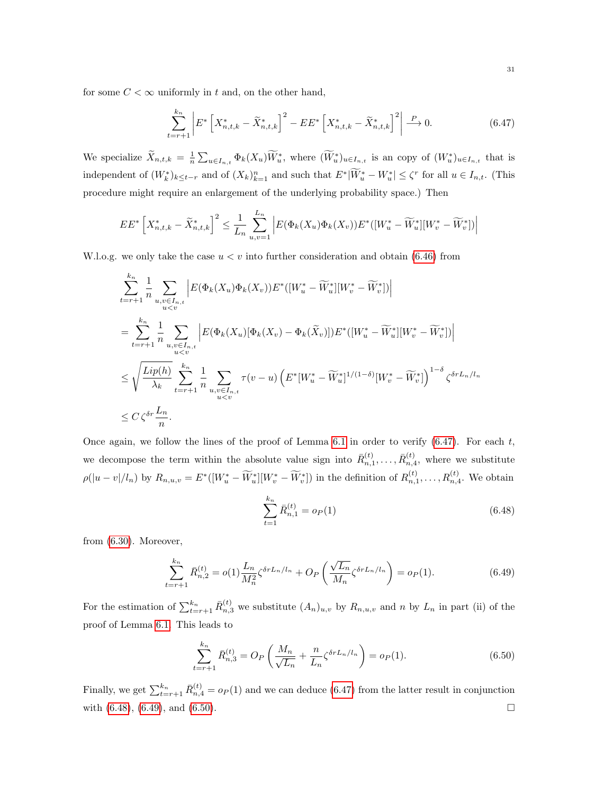for some  $C < \infty$  uniformly in t and, on the other hand,

<span id="page-31-0"></span>
$$
\sum_{t=r+1}^{k_n} \left| E^* \left[ X_{n,t,k}^* - \tilde{X}_{n,t,k}^* \right]^2 - EE^* \left[ X_{n,t,k}^* - \tilde{X}_{n,t,k}^* \right]^2 \right| \xrightarrow{P} 0. \tag{6.47}
$$

We specialize  $\widetilde{X}_{n,t,k} = \frac{1}{n} \sum_{u \in I_{n,t}} \Phi_k(X_u) \widetilde{W}_u^*$ , where  $(\widetilde{W}_u^*)_{u \in I_{n,t}}$  is an copy of  $(W_u^*)_{u \in I_{n,t}}$  that is independent of  $(W_k^*)_{k\leq t-r}$  and of  $(X_k)_{k=1}^n$  and such that  $E^*|\tilde{W}_u^*-W_u^*|\leq \zeta^r$  for all  $u\in I_{n,t}$ . (This procedure might require an enlargement of the underlying probability space.) Then

$$
EE^* \left[ X_{n,t,k}^* - \widetilde{X}_{n,t,k}^* \right]^2 \le \frac{1}{L_n} \sum_{u,v=1}^{L_n} \left| E(\Phi_k(X_u)\Phi_k(X_v))E^*([W_u^* - \widetilde{W}_u^*][W_v^* - \widetilde{W}_v^*)] \right|
$$

W.l.o.g. we only take the case  $u < v$  into further consideration and obtain [\(6.46\)](#page-30-4) from

$$
\sum_{t=r+1}^{k_n} \frac{1}{n} \sum_{\substack{u,v \in I_{n,t} \\ u\n
$$
= \sum_{t=r+1}^{k_n} \frac{1}{n} \sum_{\substack{u,v \in I_{n,t} \\ u\n
$$
\leq \sqrt{\frac{Lip(h)}{\lambda_k}} \sum_{t=r+1}^{k_n} \frac{1}{n} \sum_{\substack{u,v \in I_{n,t} \\ u\n
$$
\leq C \zeta^{\delta r} \frac{L_n}{n}.
$$
$$
$$
$$

Once again, we follow the lines of the proof of Lemma [6.1](#page-25-1) in order to verify  $(6.47)$ . For each t, we decompose the term within the absolute value sign into  $\bar{R}_{n,1}^{(t)},\ldots,\bar{R}_{n,4}^{(t)}$ , where we substitute  $\rho(|u-v|/l_n)$  by  $R_{n,u,v} = E^*([W^*_u - \widetilde{W}^*_u][W^*_v - \widetilde{W}^*_v])$  in the definition of  $R_{n,1}^{(t)}, \ldots, R_{n,4}^{(t)}$ . We obtain

<span id="page-31-1"></span>
$$
\sum_{t=1}^{k_n} \bar{R}_{n,1}^{(t)} = o_P(1) \tag{6.48}
$$

from [\(6.30\)](#page-26-0). Moreover,

<span id="page-31-2"></span>
$$
\sum_{t=r+1}^{k_n} \bar{R}_{n,2}^{(t)} = o(1) \frac{L_n}{M_n^2} \zeta^{\delta r L_n / l_n} + O_P\left(\frac{\sqrt{L_n}}{M_n} \zeta^{\delta r L_n / l_n}\right) = o_P(1). \tag{6.49}
$$

For the estimation of  $\sum_{t=r+1}^{k_n} \bar{R}_{n,3}^{(t)}$  we substitute  $(A_n)_{u,v}$  by  $R_{n,u,v}$  and n by  $L_n$  in part (ii) of the proof of Lemma [6.1.](#page-25-1) This leads to

<span id="page-31-3"></span>
$$
\sum_{t=r+1}^{k_n} \bar{R}_{n,3}^{(t)} = O_P\left(\frac{M_n}{\sqrt{L_n}} + \frac{n}{L_n} \zeta^{\delta r L_n / l_n}\right) = o_P(1). \tag{6.50}
$$

Finally, we get  $\sum_{t=r+1}^{k_n} \bar{R}_{n,4}^{(t)} = o_P(1)$  and we can deduce [\(6.47\)](#page-31-0) from the latter result in conjunction with  $(6.48)$ ,  $(6.49)$ , and  $(6.50)$ .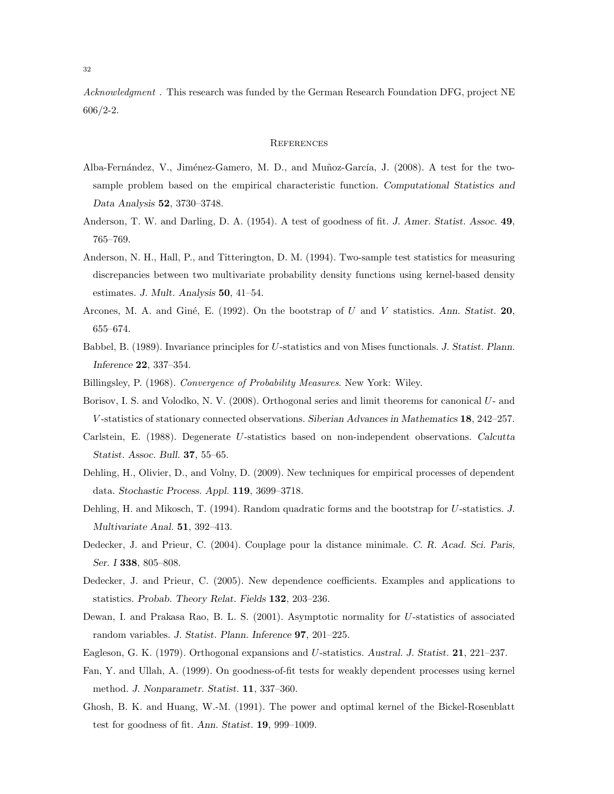Acknowledgment. This research was funded by the German Research Foundation DFG, project NE 606/2-2.

### **REFERENCES**

- <span id="page-32-13"></span>Alba-Fernández, V., Jiménez-Gamero, M. D., and Muñoz-García, J. (2008). A test for the twosample problem based on the empirical characteristic function. Computational Statistics and Data Analysis 52, 3730–3748.
- <span id="page-32-9"></span>Anderson, T. W. and Darling, D. A. (1954). A test of goodness of fit. J. Amer. Statist. Assoc. 49, 765–769.
- <span id="page-32-12"></span>Anderson, N. H., Hall, P., and Titterington, D. M. (1994). Two-sample test statistics for measuring discrepancies between two multivariate probability density functions using kernel-based density estimates. J. Mult. Analysis 50, 41–54.
- <span id="page-32-7"></span>Arcones, M. A. and Giné, E. (1992). On the bootstrap of U and V statistics. Ann. Statist. 20, 655–674.
- <span id="page-32-6"></span>Babbel, B. (1989). Invariance principles for U-statistics and von Mises functionals. J. Statist. Plann. Inference 22, 337–354.
- <span id="page-32-15"></span><span id="page-32-3"></span>Billingsley, P. (1968). Convergence of Probability Measures. New York: Wiley.
- Borisov, I. S. and Volodko, N. V. (2008). Orthogonal series and limit theorems for canonical U- and V -statistics of stationary connected observations. Siberian Advances in Mathematics 18, 242–257.
- <span id="page-32-2"></span>Carlstein, E. (1988). Degenerate U-statistics based on non-independent observations. Calcutta Statist. Assoc. Bull. 37, 55–65.
- <span id="page-32-14"></span>Dehling, H., Olivier, D., and Volny, D. (2009). New techniques for empirical processes of dependent data. Stochastic Process. Appl. 119, 3699–3718.
- <span id="page-32-8"></span>Dehling, H. and Mikosch, T. (1994). Random quadratic forms and the bootstrap for U-statistics. J. Multivariate Anal. 51, 392–413.
- <span id="page-32-0"></span>Dedecker, J. and Prieur, C. (2004). Couplage pour la distance minimale. C. R. Acad. Sci. Paris, Ser. I 338, 805–808.
- <span id="page-32-5"></span>Dedecker, J. and Prieur, C. (2005). New dependence coefficients. Examples and applications to statistics. Probab. Theory Relat. Fields 132, 203–236.
- <span id="page-32-4"></span>Dewan, I. and Prakasa Rao, B. L. S. (2001). Asymptotic normality for U-statistics of associated random variables. J. Statist. Plann. Inference 97, 201–225.
- <span id="page-32-10"></span><span id="page-32-1"></span>Eagleson, G. K. (1979). Orthogonal expansions and U-statistics. Austral. J. Statist. 21, 221–237.
- Fan, Y. and Ullah, A. (1999). On goodness-of-fit tests for weakly dependent processes using kernel method. J. Nonparametr. Statist. 11, 337–360.
- <span id="page-32-11"></span>Ghosh, B. K. and Huang, W.-M. (1991). The power and optimal kernel of the Bickel-Rosenblatt test for goodness of fit. Ann. Statist. 19, 999–1009.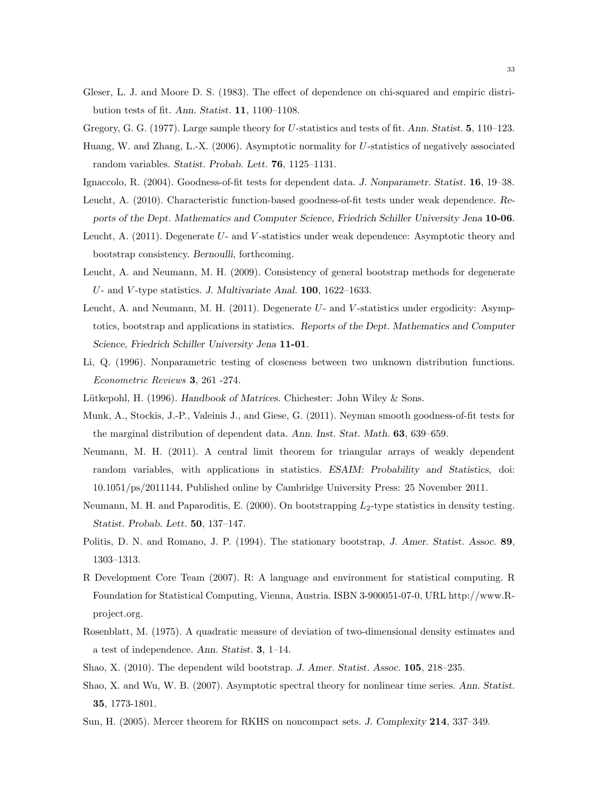<span id="page-33-5"></span>Gleser, L. J. and Moore D. S. (1983). The effect of dependence on chi-squared and empiric distribution tests of fit. Ann. Statist. 11, 1100–1108.

<span id="page-33-2"></span><span id="page-33-1"></span>Gregory, G. G. (1977). Large sample theory for U-statistics and tests of fit. Ann. Statist. 5, 110–123.

- Huang, W. and Zhang, L.-X. (2006). Asymptotic normality for U-statistics of negatively associated random variables. Statist. Probab. Lett. 76, 1125–1131.
- <span id="page-33-13"></span><span id="page-33-9"></span>Ignaccolo, R. (2004). Goodness-of-fit tests for dependent data. J. Nonparametr. Statist. 16, 19–38.
- Leucht, A. (2010). Characteristic function-based goodness-of-fit tests under weak dependence. Reports of the Dept. Mathematics and Computer Science, Friedrich Schiller University Jena 10-06.
- <span id="page-33-4"></span>Leucht, A.  $(2011)$ . Degenerate U- and V-statistics under weak dependence: Asymptotic theory and bootstrap consistency. Bernoulli, forthcoming.
- Leucht, A. and Neumann, M. H. (2009). Consistency of general bootstrap methods for degenerate U- and V -type statistics. J. Multivariate Anal. 100, 1622–1633.
- <span id="page-33-3"></span>Leucht, A. and Neumann, M. H. (2011). Degenerate U- and V-statistics under ergodicity: Asymptotics, bootstrap and applications in statistics. Reports of the Dept. Mathematics and Computer Science, Friedrich Schiller University Jena 11-01.
- <span id="page-33-14"></span>Li, Q. (1996). Nonparametric testing of closeness between two unknown distribution functions. Econometric Reviews 3, 261 -274.
- <span id="page-33-17"></span><span id="page-33-10"></span>Lütkepohl, H. (1996). Handbook of Matrices. Chichester: John Wiley  $\&$  Sons.
- Munk, A., Stockis, J.-P., Valeinis J., and Giese, G. (2011). Neyman smooth goodness-of-fit tests for the marginal distribution of dependent data. Ann. Inst. Stat. Math. 63, 639–659.
- <span id="page-33-6"></span>Neumann, M. H. (2011). A central limit theorem for triangular arrays of weakly dependent random variables, with applications in statistics. ESAIM: Probability and Statistics, doi: 10.1051/ps/2011144, Published online by Cambridge University Press: 25 November 2011.
- <span id="page-33-11"></span>Neumann, M. H. and Paparoditis, E.  $(2000)$ . On bootstrapping  $L_2$ -type statistics in density testing. Statist. Probab. Lett. 50, 137–147.
- <span id="page-33-8"></span>Politis, D. N. and Romano, J. P. (1994). The stationary bootstrap, J. Amer. Statist. Assoc. 89, 1303–1313.
- <span id="page-33-15"></span>R Development Core Team (2007). R: A language and environment for statistical computing. R Foundation for Statistical Computing, Vienna, Austria. ISBN 3-900051-07-0, URL http://www.Rproject.org.
- <span id="page-33-12"></span>Rosenblatt, M. (1975). A quadratic measure of deviation of two-dimensional density estimates and a test of independence. Ann. Statist. 3, 1–14.
- <span id="page-33-7"></span><span id="page-33-0"></span>Shao, X. (2010). The dependent wild bootstrap. J. Amer. Statist. Assoc. 105, 218–235.
- Shao, X. and Wu, W. B. (2007). Asymptotic spectral theory for nonlinear time series. Ann. Statist. 35, 1773-1801.
- <span id="page-33-16"></span>Sun, H. (2005). Mercer theorem for RKHS on noncompact sets. J. Complexity 214, 337–349.